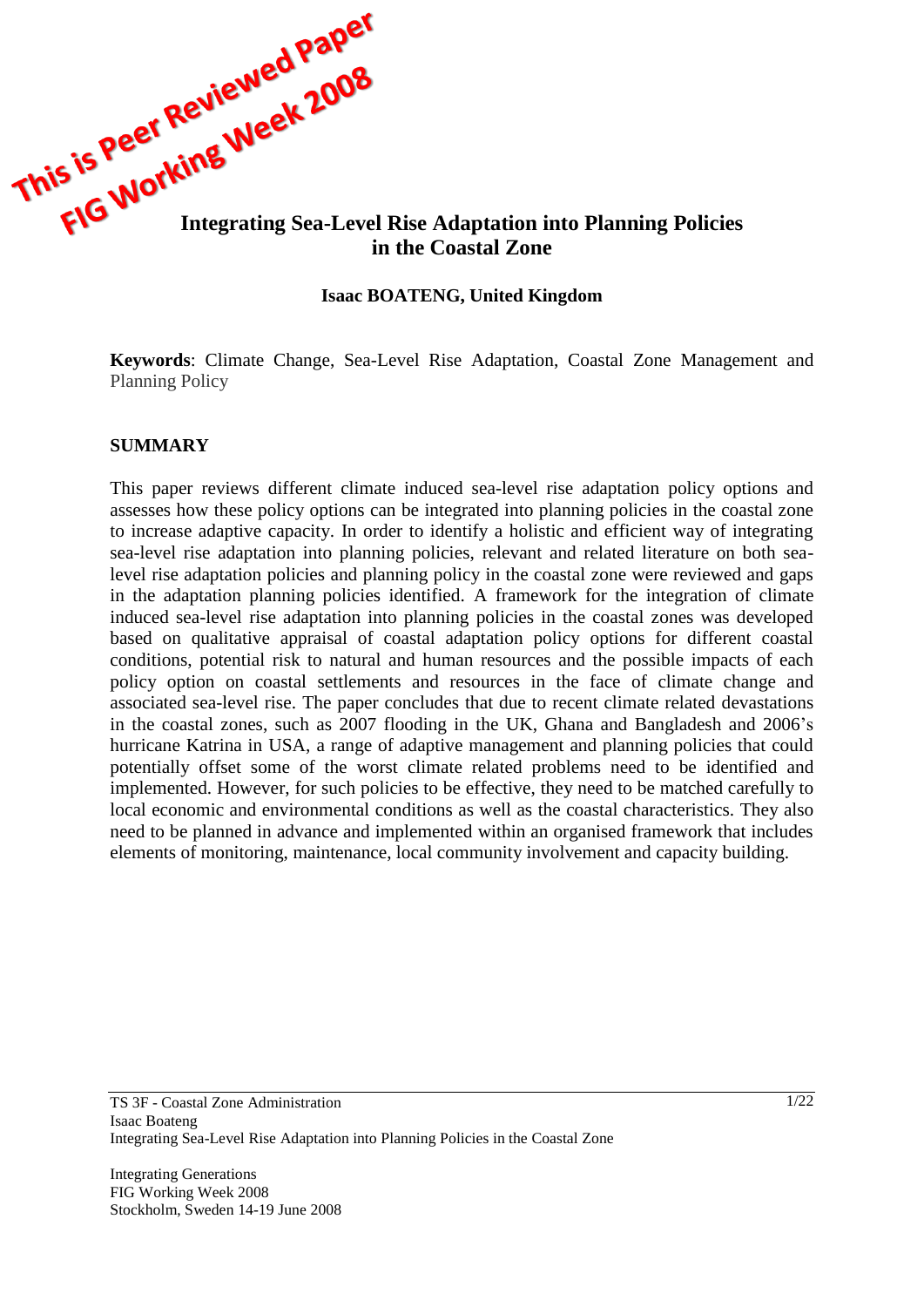

#### **Isaac BOATENG, United Kingdom**

**Keywords**: Climate Change, Sea-Level Rise Adaptation, Coastal Zone Management and Planning Policy

#### **SUMMARY**

This paper reviews different climate induced sea-level rise adaptation policy options and assesses how these policy options can be integrated into planning policies in the coastal zone to increase adaptive capacity. In order to identify a holistic and efficient way of integrating sea-level rise adaptation into planning policies, relevant and related literature on both sealevel rise adaptation policies and planning policy in the coastal zone were reviewed and gaps in the adaptation planning policies identified. A framework for the integration of climate induced sea-level rise adaptation into planning policies in the coastal zones was developed based on qualitative appraisal of coastal adaptation policy options for different coastal conditions, potential risk to natural and human resources and the possible impacts of each policy option on coastal settlements and resources in the face of climate change and associated sea-level rise. The paper concludes that due to recent climate related devastations in the coastal zones, such as 2007 flooding in the UK, Ghana and Bangladesh and 2006"s hurricane Katrina in USA, a range of adaptive management and planning policies that could potentially offset some of the worst climate related problems need to be identified and implemented. However, for such policies to be effective, they need to be matched carefully to local economic and environmental conditions as well as the coastal characteristics. They also need to be planned in advance and implemented within an organised framework that includes elements of monitoring, maintenance, local community involvement and capacity building.

Integrating Generations FIG Working Week 2008 Stockholm, Sweden 14-19 June 2008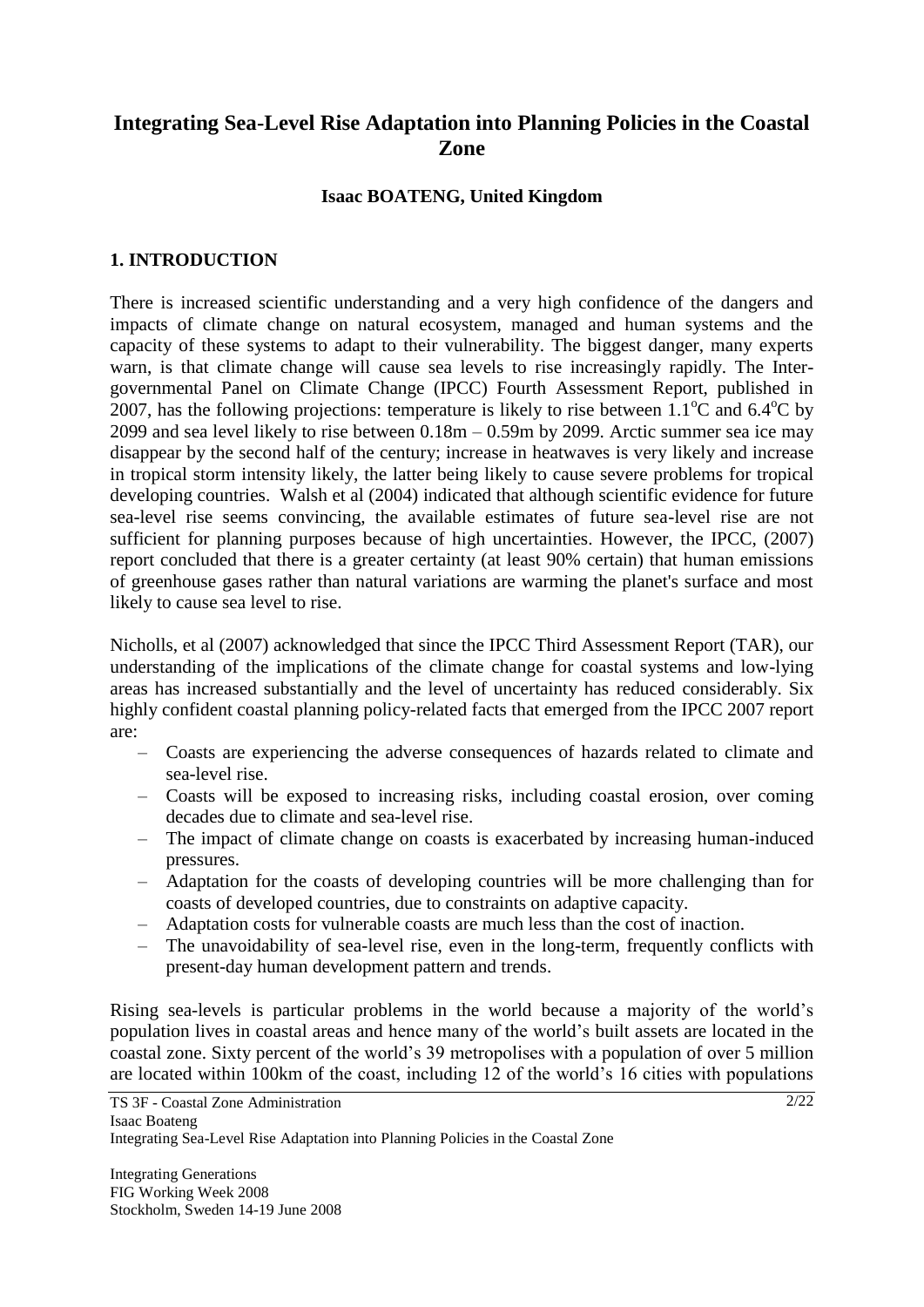# **Integrating Sea-Level Rise Adaptation into Planning Policies in the Coastal Zone**

#### **Isaac BOATENG, United Kingdom**

### **1. INTRODUCTION**

There is increased scientific understanding and a very high confidence of the dangers and impacts of climate change on natural ecosystem, managed and human systems and the capacity of these systems to adapt to their vulnerability. The biggest danger, many experts warn, is that climate change will cause sea levels to rise increasingly rapidly. The Intergovernmental Panel on Climate Change (IPCC) Fourth Assessment Report, published in 2007, has the following projections: temperature is likely to rise between  $1.1^{\circ}$ C and  $6.4^{\circ}$ C by 2099 and sea level likely to rise between 0.18m – 0.59m by 2099. Arctic summer sea ice may disappear by the second half of the century; increase in heatwaves is very likely and increase in tropical storm intensity likely, the latter being likely to cause severe problems for tropical developing countries. Walsh et al (2004) indicated that although scientific evidence for future sea-level rise seems convincing, the available estimates of future sea-level rise are not sufficient for planning purposes because of high uncertainties. However, the IPCC, (2007) report concluded that there is a greater certainty (at least 90% certain) that human emissions of greenhouse gases rather than natural variations are warming the planet's surface and most likely to cause sea level to rise.

Nicholls, et al (2007) acknowledged that since the IPCC Third Assessment Report (TAR), our understanding of the implications of the climate change for coastal systems and low-lying areas has increased substantially and the level of uncertainty has reduced considerably. Six highly confident coastal planning policy-related facts that emerged from the IPCC 2007 report are:

- Coasts are experiencing the adverse consequences of hazards related to climate and sea-level rise.
- Coasts will be exposed to increasing risks, including coastal erosion, over coming decades due to climate and sea-level rise.
- The impact of climate change on coasts is exacerbated by increasing human-induced pressures.
- Adaptation for the coasts of developing countries will be more challenging than for coasts of developed countries, due to constraints on adaptive capacity.
- Adaptation costs for vulnerable coasts are much less than the cost of inaction.
- The unavoidability of sea-level rise, even in the long-term, frequently conflicts with present-day human development pattern and trends.

Rising sea-levels is particular problems in the world because a majority of the world"s population lives in coastal areas and hence many of the world"s built assets are located in the coastal zone. Sixty percent of the world"s 39 metropolises with a population of over 5 million are located within 100km of the coast, including 12 of the world"s 16 cities with populations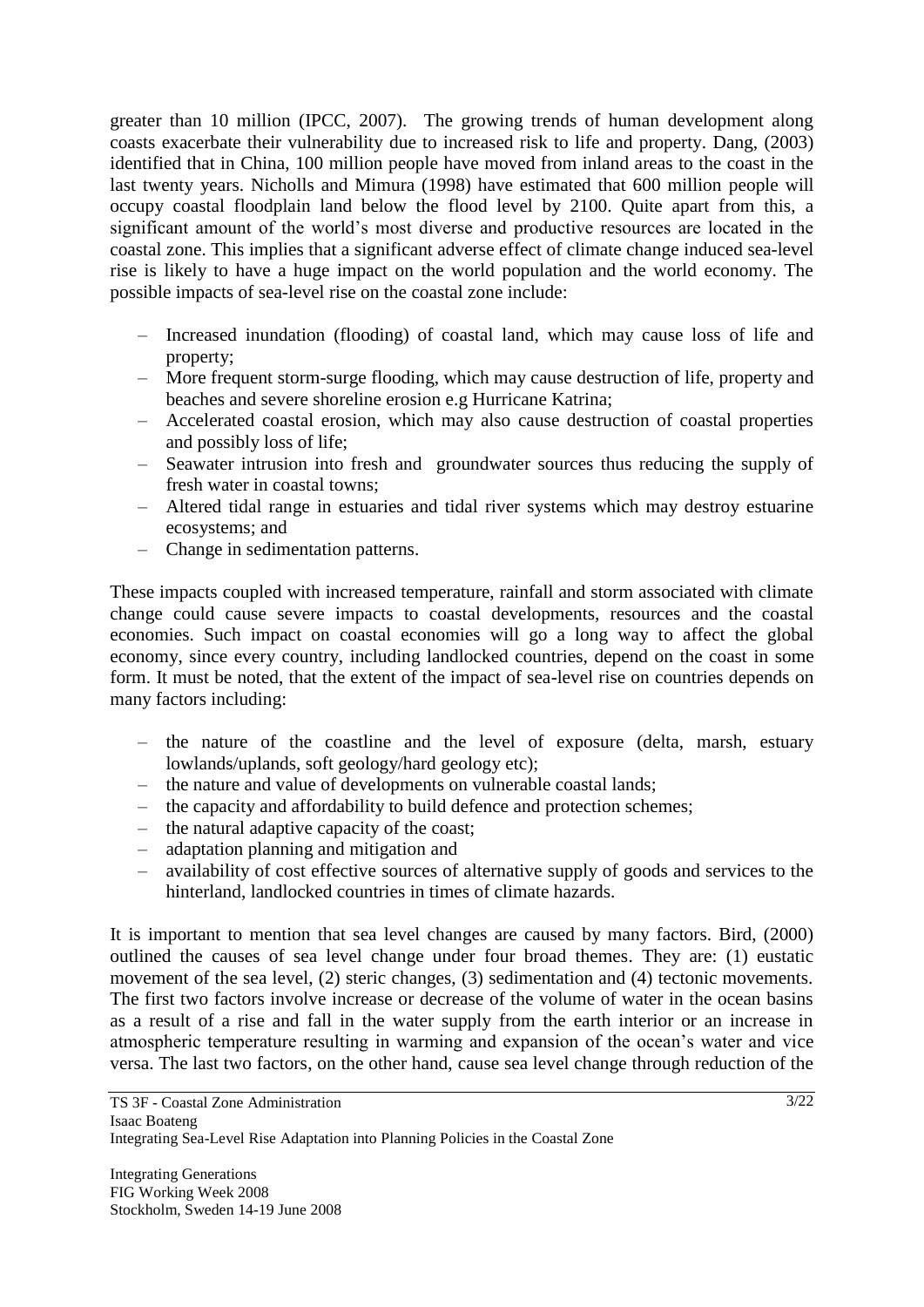greater than 10 million (IPCC, 2007). The growing trends of human development along coasts exacerbate their vulnerability due to increased risk to life and property. Dang, (2003) identified that in China, 100 million people have moved from inland areas to the coast in the last twenty years. Nicholls and Mimura (1998) have estimated that 600 million people will occupy coastal floodplain land below the flood level by 2100. Quite apart from this, a significant amount of the world"s most diverse and productive resources are located in the coastal zone. This implies that a significant adverse effect of climate change induced sea-level rise is likely to have a huge impact on the world population and the world economy. The possible impacts of sea-level rise on the coastal zone include:

- Increased inundation (flooding) of coastal land, which may cause loss of life and property;
- More frequent storm-surge flooding, which may cause destruction of life, property and beaches and severe shoreline erosion e.g Hurricane Katrina;
- Accelerated coastal erosion, which may also cause destruction of coastal properties and possibly loss of life;
- Seawater intrusion into fresh and groundwater sources thus reducing the supply of fresh water in coastal towns;
- Altered tidal range in estuaries and tidal river systems which may destroy estuarine ecosystems; and
- Change in sedimentation patterns.

These impacts coupled with increased temperature, rainfall and storm associated with climate change could cause severe impacts to coastal developments, resources and the coastal economies. Such impact on coastal economies will go a long way to affect the global economy, since every country, including landlocked countries, depend on the coast in some form. It must be noted, that the extent of the impact of sea-level rise on countries depends on many factors including:

- the nature of the coastline and the level of exposure (delta, marsh, estuary lowlands/uplands, soft geology/hard geology etc);
- the nature and value of developments on vulnerable coastal lands;
- the capacity and affordability to build defence and protection schemes;
- the natural adaptive capacity of the coast;
- adaptation planning and mitigation and
- availability of cost effective sources of alternative supply of goods and services to the hinterland, landlocked countries in times of climate hazards.

It is important to mention that sea level changes are caused by many factors. Bird, (2000) outlined the causes of sea level change under four broad themes. They are: (1) eustatic movement of the sea level, (2) steric changes, (3) sedimentation and (4) tectonic movements. The first two factors involve increase or decrease of the volume of water in the ocean basins as a result of a rise and fall in the water supply from the earth interior or an increase in atmospheric temperature resulting in warming and expansion of the ocean"s water and vice versa. The last two factors, on the other hand, cause sea level change through reduction of the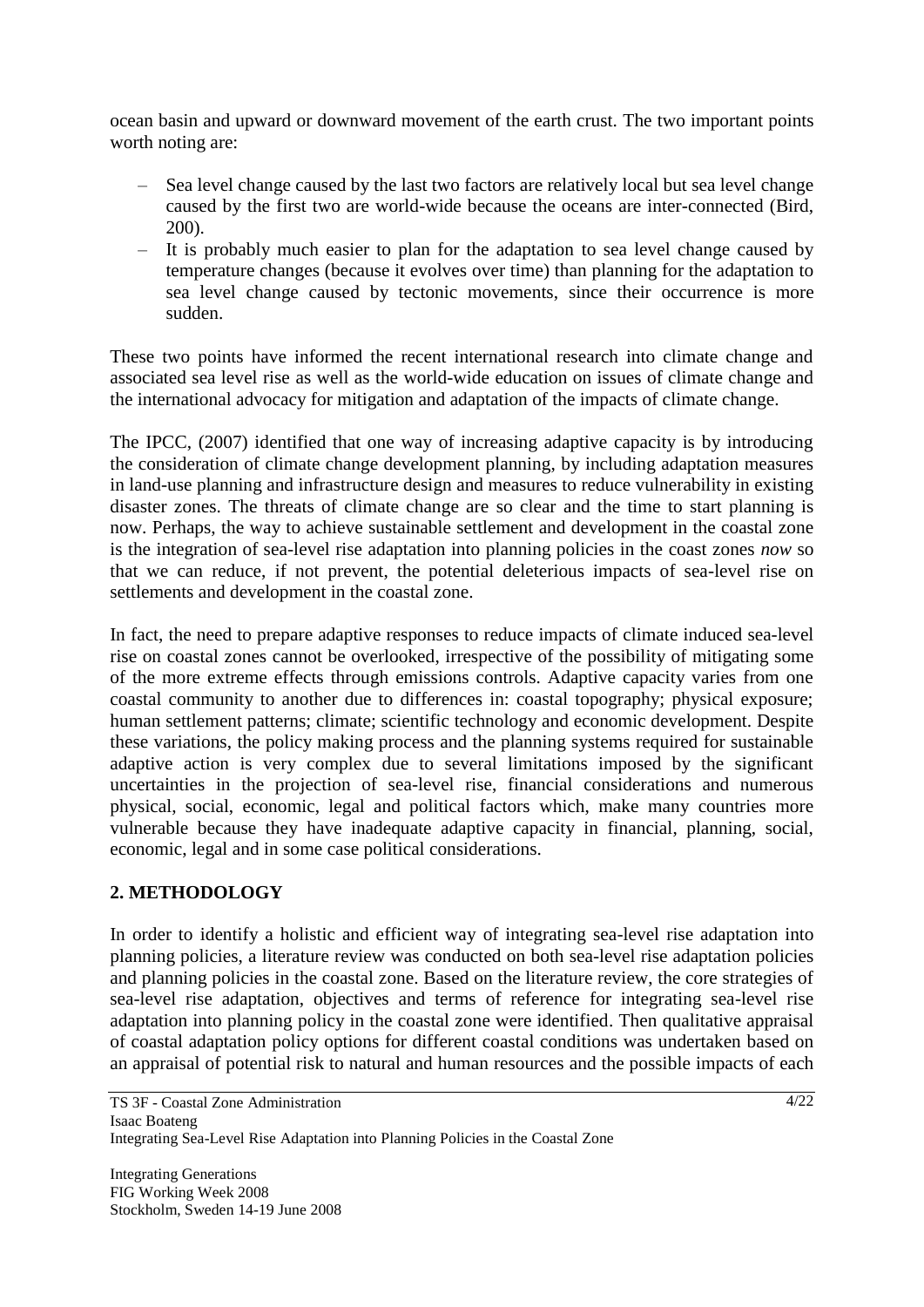ocean basin and upward or downward movement of the earth crust. The two important points worth noting are:

- Sea level change caused by the last two factors are relatively local but sea level change caused by the first two are world-wide because the oceans are inter-connected (Bird, 200).
- It is probably much easier to plan for the adaptation to sea level change caused by temperature changes (because it evolves over time) than planning for the adaptation to sea level change caused by tectonic movements, since their occurrence is more sudden.

These two points have informed the recent international research into climate change and associated sea level rise as well as the world-wide education on issues of climate change and the international advocacy for mitigation and adaptation of the impacts of climate change.

The IPCC, (2007) identified that one way of increasing adaptive capacity is by introducing the consideration of climate change development planning, by including adaptation measures in land-use planning and infrastructure design and measures to reduce vulnerability in existing disaster zones. The threats of climate change are so clear and the time to start planning is now. Perhaps, the way to achieve sustainable settlement and development in the coastal zone is the integration of sea-level rise adaptation into planning policies in the coast zones *now* so that we can reduce, if not prevent, the potential deleterious impacts of sea-level rise on settlements and development in the coastal zone.

In fact, the need to prepare adaptive responses to reduce impacts of climate induced sea-level rise on coastal zones cannot be overlooked, irrespective of the possibility of mitigating some of the more extreme effects through emissions controls. Adaptive capacity varies from one coastal community to another due to differences in: coastal topography; physical exposure; human settlement patterns; climate; scientific technology and economic development. Despite these variations, the policy making process and the planning systems required for sustainable adaptive action is very complex due to several limitations imposed by the significant uncertainties in the projection of sea-level rise, financial considerations and numerous physical, social, economic, legal and political factors which, make many countries more vulnerable because they have inadequate adaptive capacity in financial, planning, social, economic, legal and in some case political considerations.

## **2. METHODOLOGY**

In order to identify a holistic and efficient way of integrating sea-level rise adaptation into planning policies, a literature review was conducted on both sea-level rise adaptation policies and planning policies in the coastal zone. Based on the literature review, the core strategies of sea-level rise adaptation, objectives and terms of reference for integrating sea-level rise adaptation into planning policy in the coastal zone were identified. Then qualitative appraisal of coastal adaptation policy options for different coastal conditions was undertaken based on an appraisal of potential risk to natural and human resources and the possible impacts of each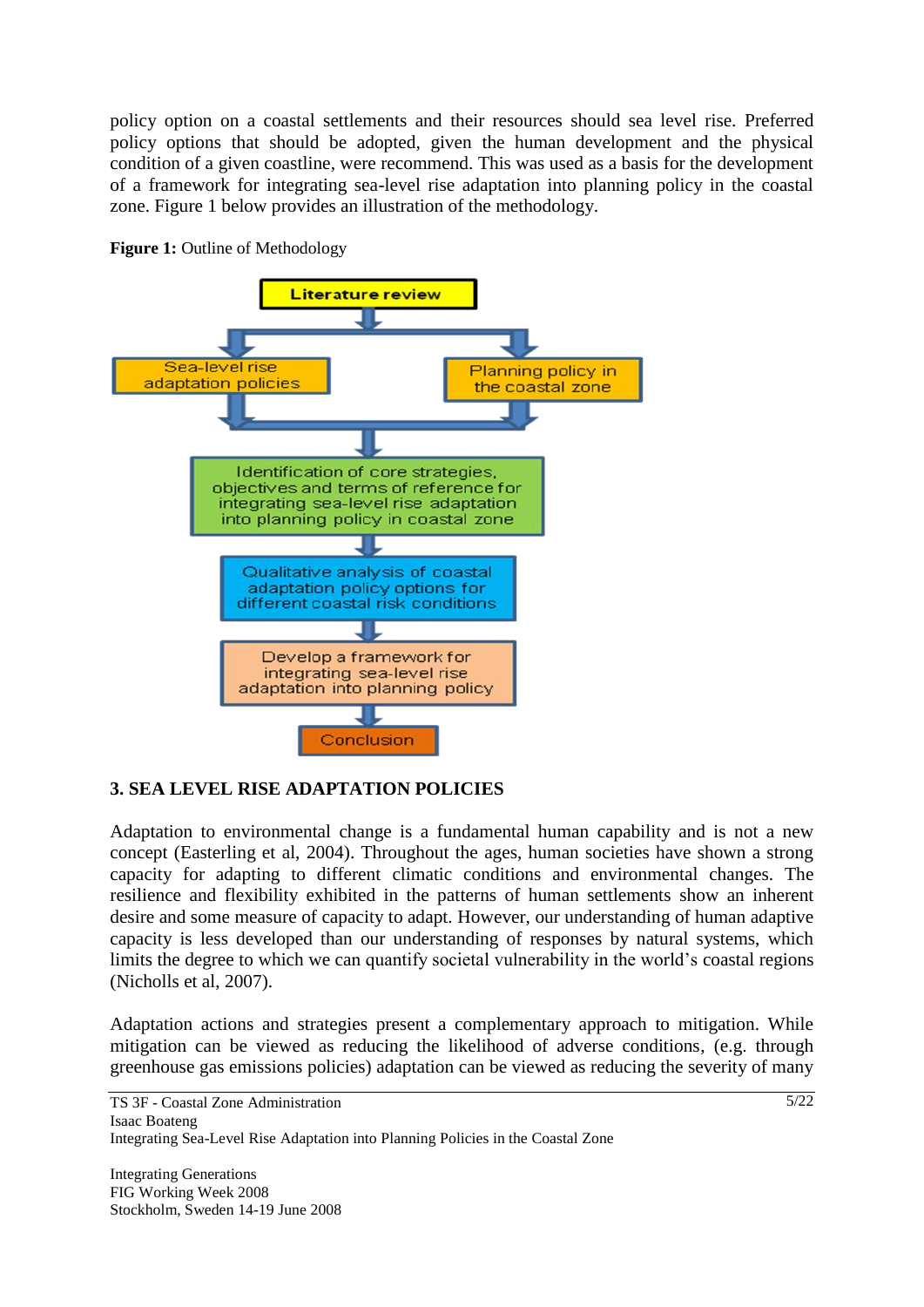policy option on a coastal settlements and their resources should sea level rise. Preferred policy options that should be adopted, given the human development and the physical condition of a given coastline, were recommend. This was used as a basis for the development of a framework for integrating sea-level rise adaptation into planning policy in the coastal zone. Figure 1 below provides an illustration of the methodology.



**Figure 1:** Outline of Methodology

### **3. SEA LEVEL RISE ADAPTATION POLICIES**

Adaptation to environmental change is a fundamental human capability and is not a new concept (Easterling et al, 2004). Throughout the ages, human societies have shown a strong capacity for adapting to different climatic conditions and environmental changes. The resilience and flexibility exhibited in the patterns of human settlements show an inherent desire and some measure of capacity to adapt. However, our understanding of human adaptive capacity is less developed than our understanding of responses by natural systems, which limits the degree to which we can quantify societal vulnerability in the world"s coastal regions (Nicholls et al, 2007).

Adaptation actions and strategies present a complementary approach to mitigation. While mitigation can be viewed as reducing the likelihood of adverse conditions, (e.g. through greenhouse gas emissions policies) adaptation can be viewed as reducing the severity of many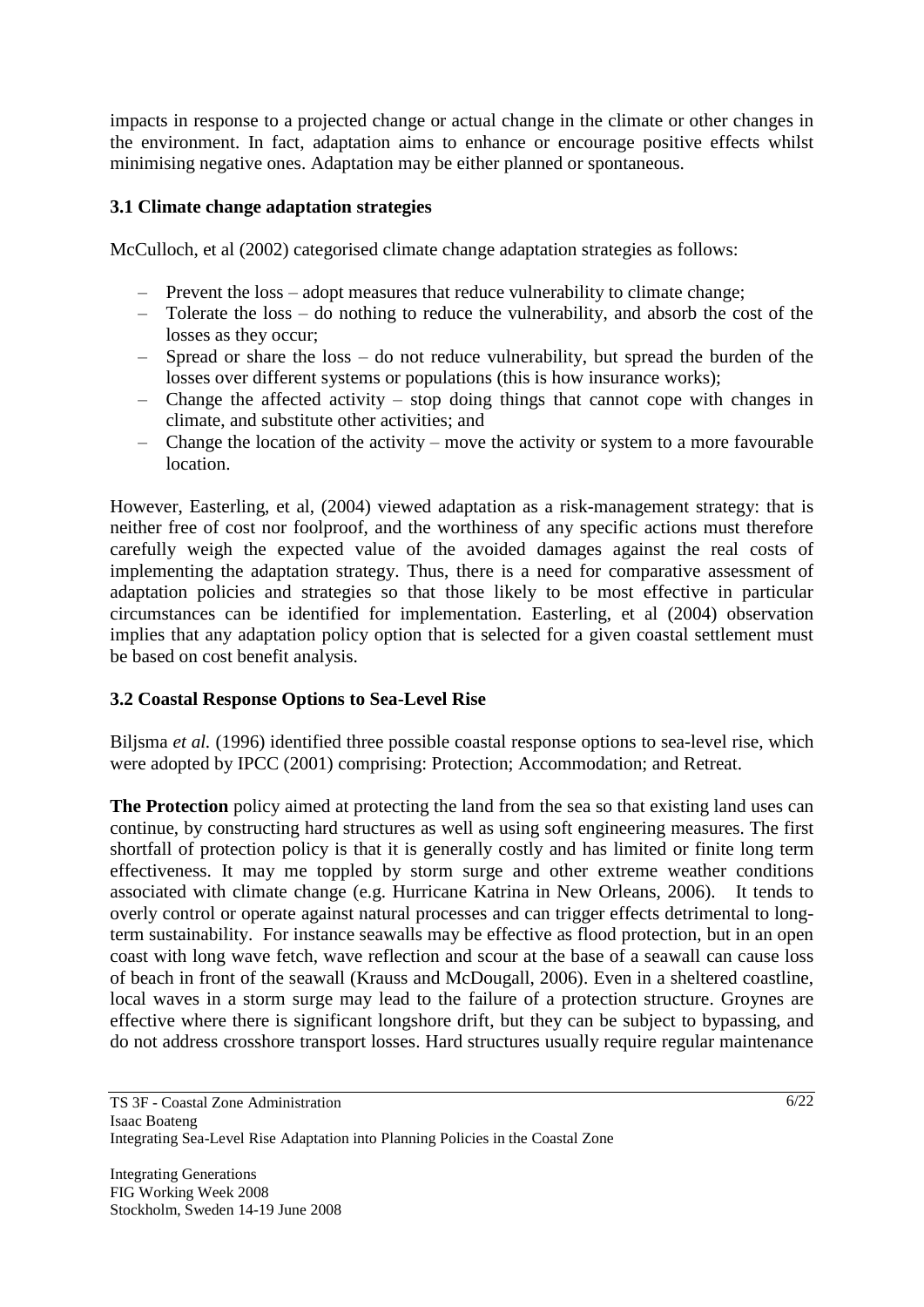impacts in response to a projected change or actual change in the climate or other changes in the environment. In fact, adaptation aims to enhance or encourage positive effects whilst minimising negative ones. Adaptation may be either planned or spontaneous.

### **3.1 Climate change adaptation strategies**

McCulloch, et al (2002) categorised climate change adaptation strategies as follows:

- Prevent the loss adopt measures that reduce vulnerability to climate change;
- Tolerate the loss do nothing to reduce the vulnerability, and absorb the cost of the losses as they occur;
- Spread or share the loss do not reduce vulnerability, but spread the burden of the losses over different systems or populations (this is how insurance works);
- Change the affected activity stop doing things that cannot cope with changes in climate, and substitute other activities; and
- Change the location of the activity move the activity or system to a more favourable location.

However, Easterling, et al, (2004) viewed adaptation as a risk-management strategy: that is neither free of cost nor foolproof, and the worthiness of any specific actions must therefore carefully weigh the expected value of the avoided damages against the real costs of implementing the adaptation strategy. Thus, there is a need for comparative assessment of adaptation policies and strategies so that those likely to be most effective in particular circumstances can be identified for implementation. Easterling, et al (2004) observation implies that any adaptation policy option that is selected for a given coastal settlement must be based on cost benefit analysis.

### **3.2 Coastal Response Options to Sea-Level Rise**

Biljsma *et al.* (1996) identified three possible coastal response options to sea-level rise, which were adopted by IPCC (2001) comprising: Protection; Accommodation; and Retreat.

**The Protection** policy aimed at protecting the land from the sea so that existing land uses can continue, by constructing hard structures as well as using soft engineering measures. The first shortfall of protection policy is that it is generally costly and has limited or finite long term effectiveness. It may me toppled by storm surge and other extreme weather conditions associated with climate change (e.g. Hurricane Katrina in New Orleans, 2006). It tends to overly control or operate against natural processes and can trigger effects detrimental to longterm sustainability. For instance seawalls may be effective as flood protection, but in an open coast with long wave fetch, wave reflection and scour at the base of a seawall can cause loss of beach in front of the seawall (Krauss and McDougall, 2006). Even in a sheltered coastline, local waves in a storm surge may lead to the failure of a protection structure. Groynes are effective where there is significant longshore drift, but they can be subject to bypassing, and do not address crosshore transport losses. Hard structures usually require regular maintenance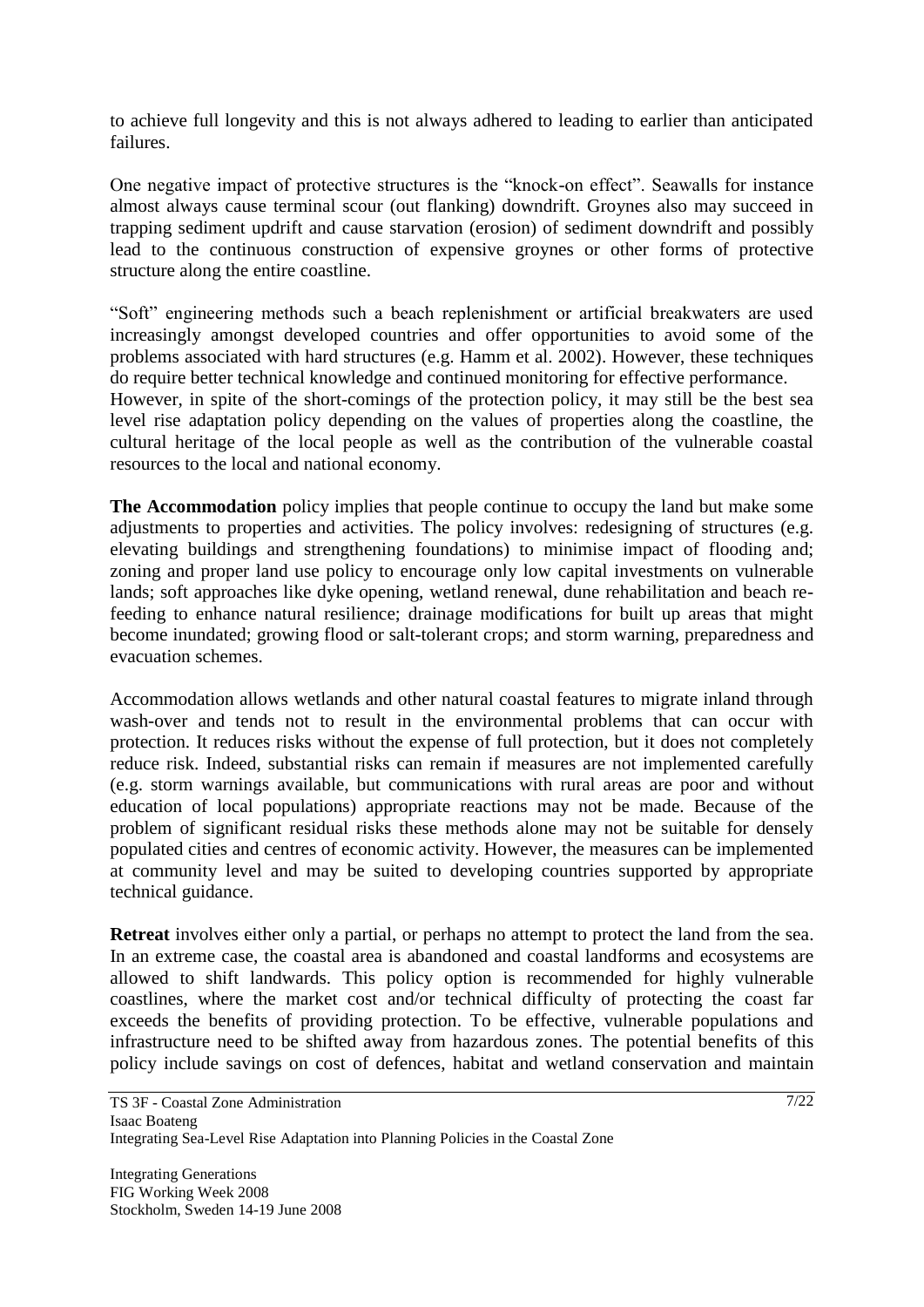to achieve full longevity and this is not always adhered to leading to earlier than anticipated failures.

One negative impact of protective structures is the "knock-on effect". Seawalls for instance almost always cause terminal scour (out flanking) downdrift. Groynes also may succeed in trapping sediment updrift and cause starvation (erosion) of sediment downdrift and possibly lead to the continuous construction of expensive groynes or other forms of protective structure along the entire coastline.

"Soft" engineering methods such a beach replenishment or artificial breakwaters are used increasingly amongst developed countries and offer opportunities to avoid some of the problems associated with hard structures (e.g. Hamm et al. 2002). However, these techniques do require better technical knowledge and continued monitoring for effective performance. However, in spite of the short-comings of the protection policy, it may still be the best sea level rise adaptation policy depending on the values of properties along the coastline, the cultural heritage of the local people as well as the contribution of the vulnerable coastal resources to the local and national economy.

**The Accommodation** policy implies that people continue to occupy the land but make some adjustments to properties and activities. The policy involves: redesigning of structures (e.g. elevating buildings and strengthening foundations) to minimise impact of flooding and; zoning and proper land use policy to encourage only low capital investments on vulnerable lands; soft approaches like dyke opening, wetland renewal, dune rehabilitation and beach refeeding to enhance natural resilience; drainage modifications for built up areas that might become inundated; growing flood or salt-tolerant crops; and storm warning, preparedness and evacuation schemes.

Accommodation allows wetlands and other natural coastal features to migrate inland through wash-over and tends not to result in the environmental problems that can occur with protection. It reduces risks without the expense of full protection, but it does not completely reduce risk. Indeed, substantial risks can remain if measures are not implemented carefully (e.g. storm warnings available, but communications with rural areas are poor and without education of local populations) appropriate reactions may not be made. Because of the problem of significant residual risks these methods alone may not be suitable for densely populated cities and centres of economic activity. However, the measures can be implemented at community level and may be suited to developing countries supported by appropriate technical guidance.

**Retreat** involves either only a partial, or perhaps no attempt to protect the land from the sea. In an extreme case, the coastal area is abandoned and coastal landforms and ecosystems are allowed to shift landwards. This policy option is recommended for highly vulnerable coastlines, where the market cost and/or technical difficulty of protecting the coast far exceeds the benefits of providing protection. To be effective, vulnerable populations and infrastructure need to be shifted away from hazardous zones. The potential benefits of this policy include savings on cost of defences, habitat and wetland conservation and maintain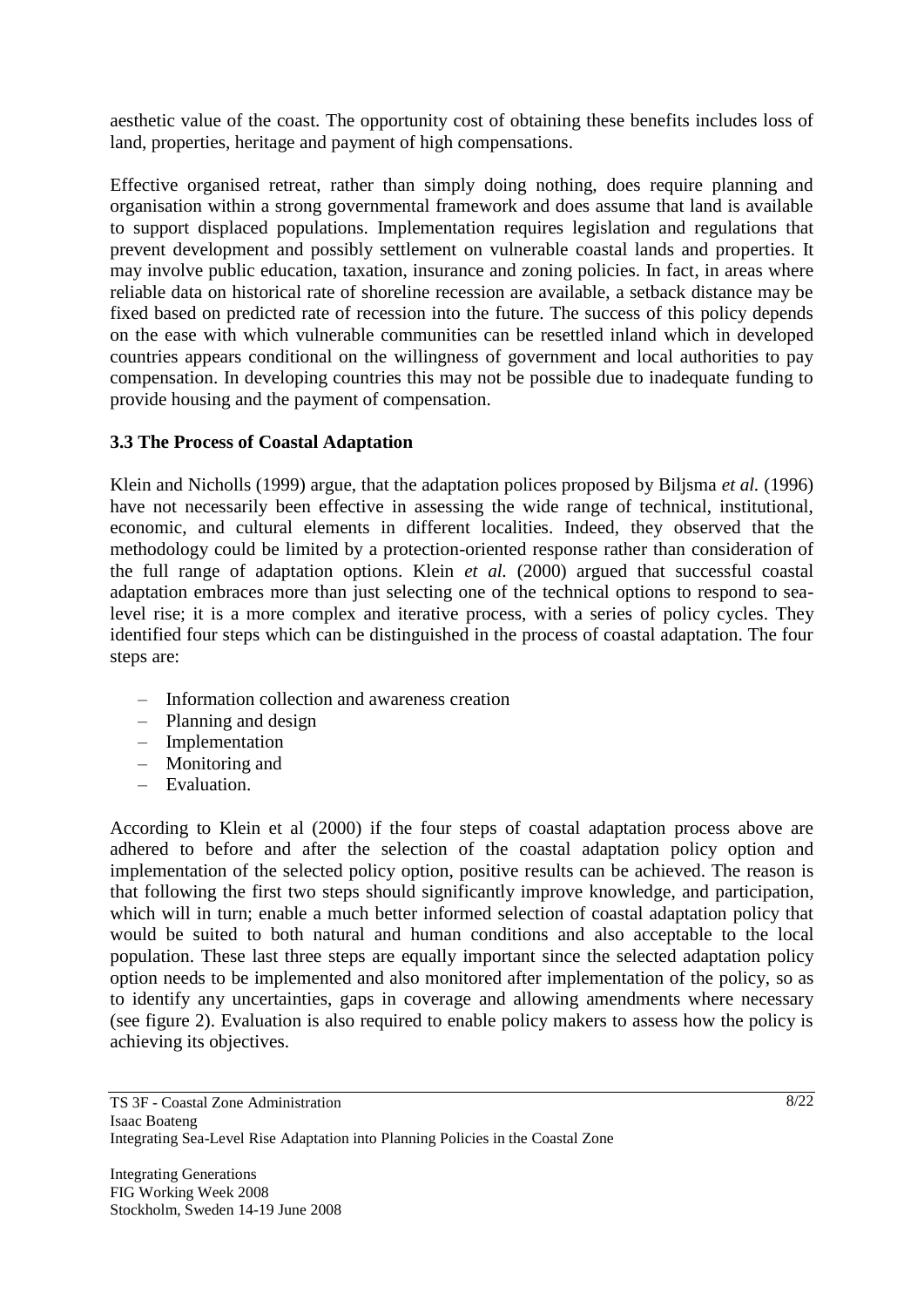aesthetic value of the coast. The opportunity cost of obtaining these benefits includes loss of land, properties, heritage and payment of high compensations.

Effective organised retreat, rather than simply doing nothing, does require planning and organisation within a strong governmental framework and does assume that land is available to support displaced populations. Implementation requires legislation and regulations that prevent development and possibly settlement on vulnerable coastal lands and properties. It may involve public education, taxation, insurance and zoning policies. In fact, in areas where reliable data on historical rate of shoreline recession are available, a setback distance may be fixed based on predicted rate of recession into the future. The success of this policy depends on the ease with which vulnerable communities can be resettled inland which in developed countries appears conditional on the willingness of government and local authorities to pay compensation. In developing countries this may not be possible due to inadequate funding to provide housing and the payment of compensation.

#### **3.3 The Process of Coastal Adaptation**

Klein and Nicholls (1999) argue, that the adaptation polices proposed by Biljsma *et al.* (1996) have not necessarily been effective in assessing the wide range of technical, institutional, economic, and cultural elements in different localities. Indeed, they observed that the methodology could be limited by a protection-oriented response rather than consideration of the full range of adaptation options. Klein *et al.* (2000) argued that successful coastal adaptation embraces more than just selecting one of the technical options to respond to sealevel rise; it is a more complex and iterative process, with a series of policy cycles. They identified four steps which can be distinguished in the process of coastal adaptation. The four steps are:

- Information collection and awareness creation
- Planning and design
- Implementation
- Monitoring and
- Evaluation.

According to Klein et al (2000) if the four steps of coastal adaptation process above are adhered to before and after the selection of the coastal adaptation policy option and implementation of the selected policy option, positive results can be achieved. The reason is that following the first two steps should significantly improve knowledge, and participation, which will in turn; enable a much better informed selection of coastal adaptation policy that would be suited to both natural and human conditions and also acceptable to the local population. These last three steps are equally important since the selected adaptation policy option needs to be implemented and also monitored after implementation of the policy, so as to identify any uncertainties, gaps in coverage and allowing amendments where necessary (see figure 2). Evaluation is also required to enable policy makers to assess how the policy is achieving its objectives.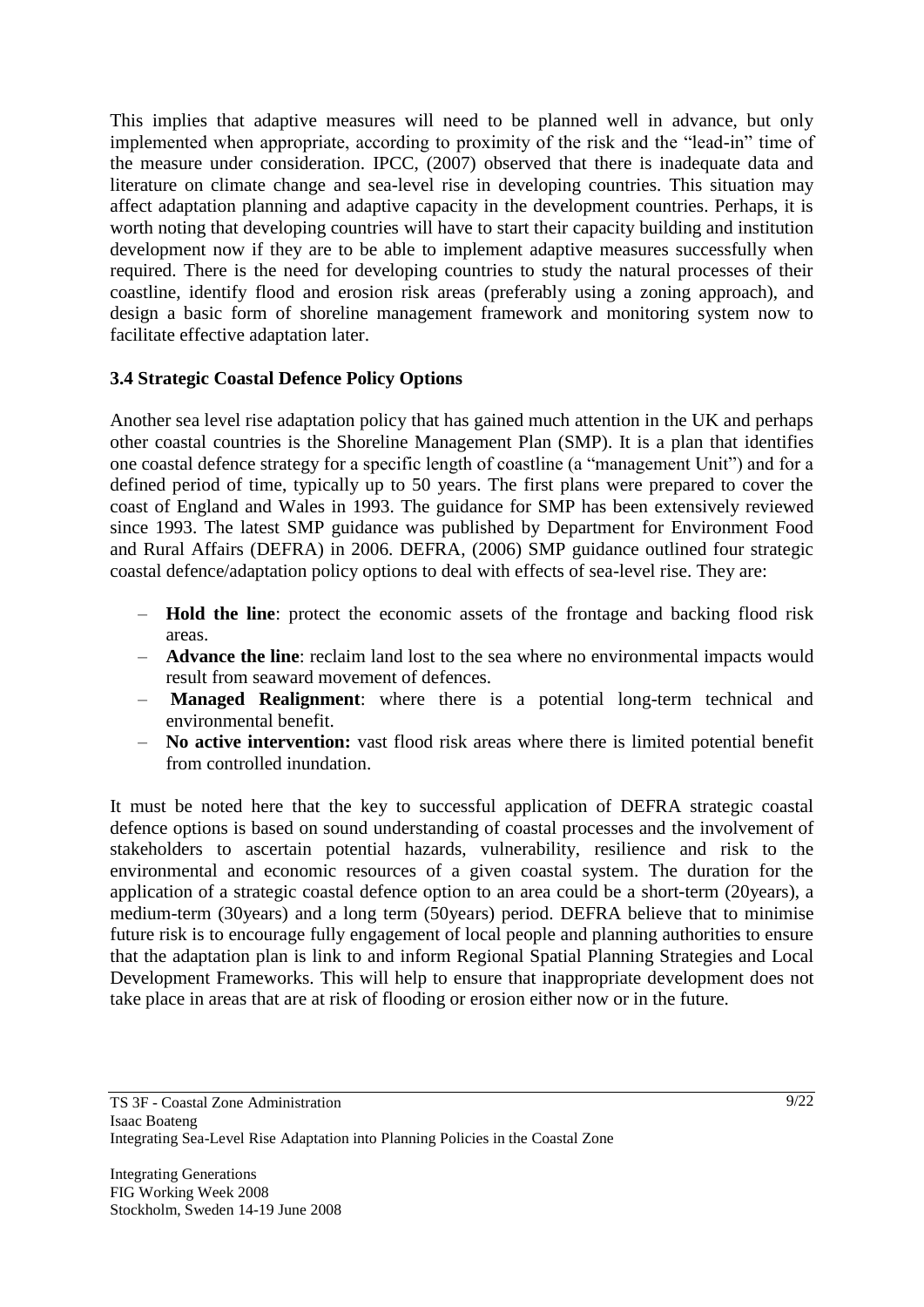This implies that adaptive measures will need to be planned well in advance, but only implemented when appropriate, according to proximity of the risk and the "lead-in" time of the measure under consideration. IPCC, (2007) observed that there is inadequate data and literature on climate change and sea-level rise in developing countries. This situation may affect adaptation planning and adaptive capacity in the development countries. Perhaps, it is worth noting that developing countries will have to start their capacity building and institution development now if they are to be able to implement adaptive measures successfully when required. There is the need for developing countries to study the natural processes of their coastline, identify flood and erosion risk areas (preferably using a zoning approach), and design a basic form of shoreline management framework and monitoring system now to facilitate effective adaptation later.

### **3.4 Strategic Coastal Defence Policy Options**

Another sea level rise adaptation policy that has gained much attention in the UK and perhaps other coastal countries is the Shoreline Management Plan (SMP). It is a plan that identifies one coastal defence strategy for a specific length of coastline (a "management Unit") and for a defined period of time, typically up to 50 years. The first plans were prepared to cover the coast of England and Wales in 1993. The guidance for SMP has been extensively reviewed since 1993. The latest SMP guidance was published by Department for Environment Food and Rural Affairs (DEFRA) in 2006. DEFRA, (2006) SMP guidance outlined four strategic coastal defence/adaptation policy options to deal with effects of sea-level rise. They are:

- **Hold the line**: protect the economic assets of the frontage and backing flood risk areas.
- **Advance the line**: reclaim land lost to the sea where no environmental impacts would result from seaward movement of defences.
- **Managed Realignment**: where there is a potential long-term technical and environmental benefit.
- **No active intervention:** vast flood risk areas where there is limited potential benefit from controlled inundation.

It must be noted here that the key to successful application of DEFRA strategic coastal defence options is based on sound understanding of coastal processes and the involvement of stakeholders to ascertain potential hazards, vulnerability, resilience and risk to the environmental and economic resources of a given coastal system. The duration for the application of a strategic coastal defence option to an area could be a short-term (20years), a medium-term (30years) and a long term (50years) period. DEFRA believe that to minimise future risk is to encourage fully engagement of local people and planning authorities to ensure that the adaptation plan is link to and inform Regional Spatial Planning Strategies and Local Development Frameworks. This will help to ensure that inappropriate development does not take place in areas that are at risk of flooding or erosion either now or in the future.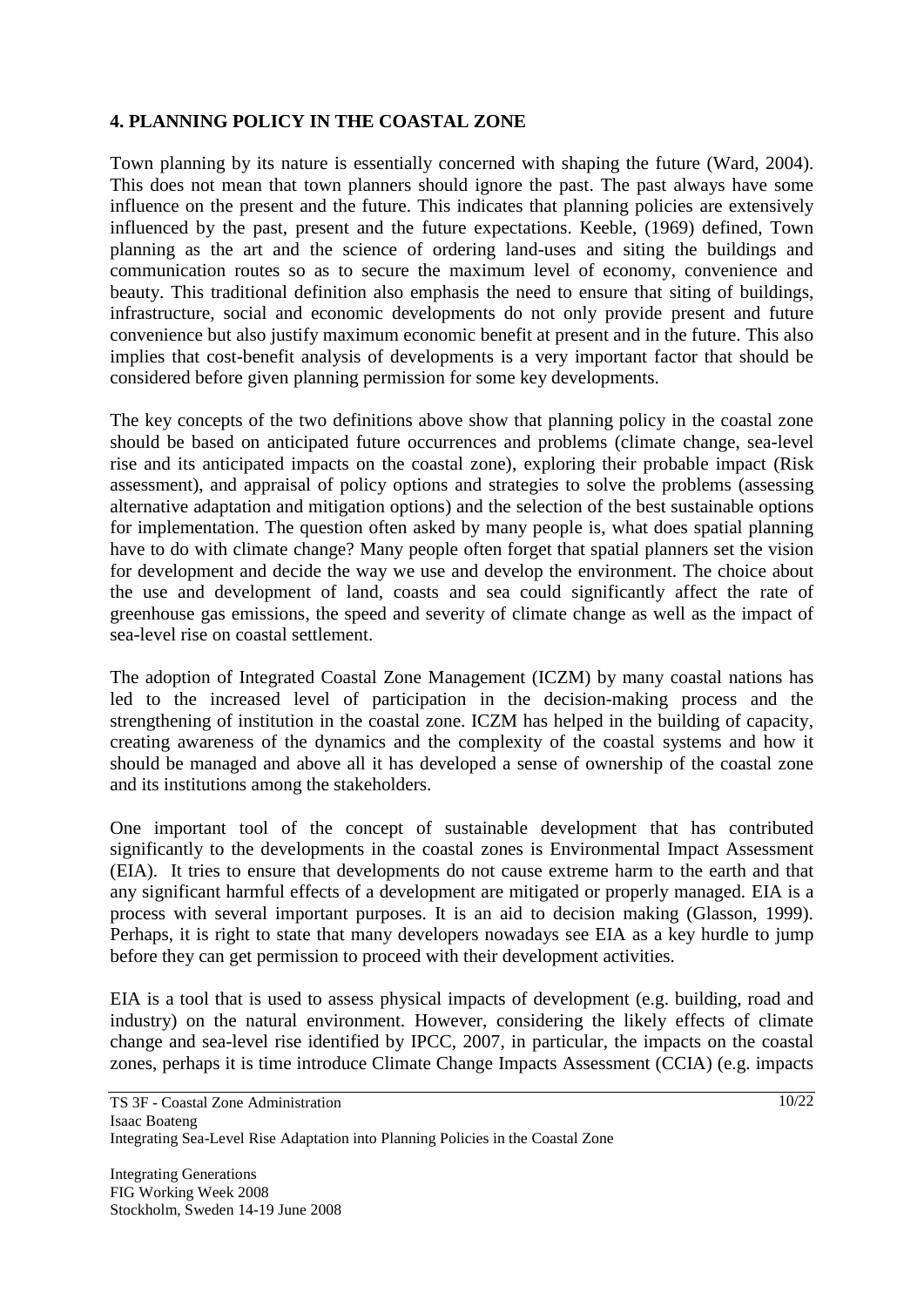### **4. PLANNING POLICY IN THE COASTAL ZONE**

Town planning by its nature is essentially concerned with shaping the future (Ward, 2004). This does not mean that town planners should ignore the past. The past always have some influence on the present and the future. This indicates that planning policies are extensively influenced by the past, present and the future expectations. Keeble, (1969) defined, Town planning as the art and the science of ordering land-uses and siting the buildings and communication routes so as to secure the maximum level of economy, convenience and beauty. This traditional definition also emphasis the need to ensure that siting of buildings, infrastructure, social and economic developments do not only provide present and future convenience but also justify maximum economic benefit at present and in the future. This also implies that cost-benefit analysis of developments is a very important factor that should be considered before given planning permission for some key developments.

The key concepts of the two definitions above show that planning policy in the coastal zone should be based on anticipated future occurrences and problems (climate change, sea-level rise and its anticipated impacts on the coastal zone), exploring their probable impact (Risk assessment), and appraisal of policy options and strategies to solve the problems (assessing alternative adaptation and mitigation options) and the selection of the best sustainable options for implementation. The question often asked by many people is, what does spatial planning have to do with climate change? Many people often forget that spatial planners set the vision for development and decide the way we use and develop the environment. The choice about the use and development of land, coasts and sea could significantly affect the rate of greenhouse gas emissions, the speed and severity of climate change as well as the impact of sea-level rise on coastal settlement.

The adoption of Integrated Coastal Zone Management (ICZM) by many coastal nations has led to the increased level of participation in the decision-making process and the strengthening of institution in the coastal zone. ICZM has helped in the building of capacity, creating awareness of the dynamics and the complexity of the coastal systems and how it should be managed and above all it has developed a sense of ownership of the coastal zone and its institutions among the stakeholders.

One important tool of the concept of sustainable development that has contributed significantly to the developments in the coastal zones is Environmental Impact Assessment (EIA). It tries to ensure that developments do not cause extreme harm to the earth and that any significant harmful effects of a development are mitigated or properly managed. EIA is a process with several important purposes. It is an aid to decision making (Glasson, 1999). Perhaps, it is right to state that many developers nowadays see EIA as a key hurdle to jump before they can get permission to proceed with their development activities.

EIA is a tool that is used to assess physical impacts of development (e.g. building, road and industry) on the natural environment. However, considering the likely effects of climate change and sea-level rise identified by IPCC, 2007, in particular, the impacts on the coastal zones, perhaps it is time introduce Climate Change Impacts Assessment (CCIA) (e.g. impacts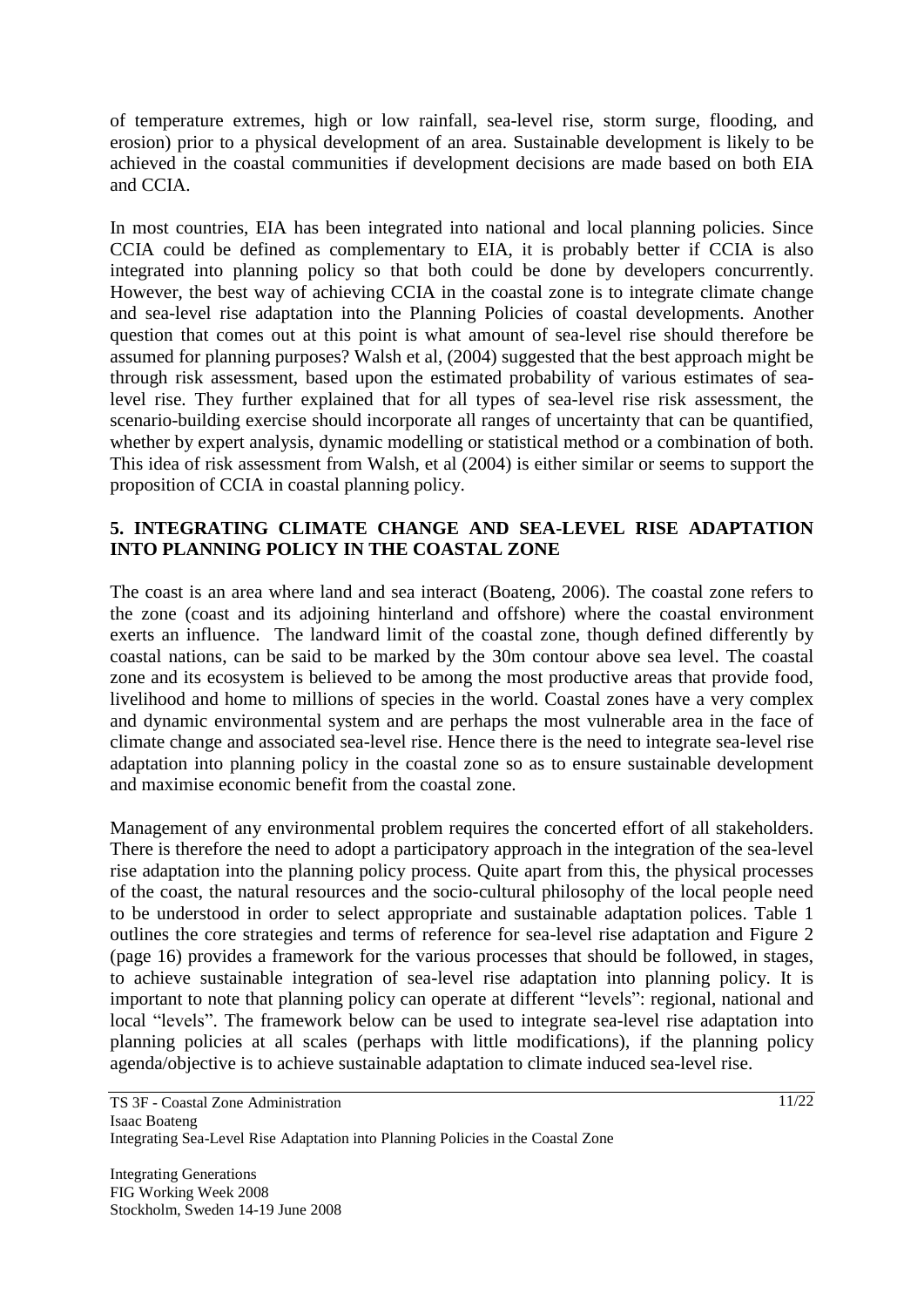of temperature extremes, high or low rainfall, sea-level rise, storm surge, flooding, and erosion) prior to a physical development of an area. Sustainable development is likely to be achieved in the coastal communities if development decisions are made based on both EIA and CCIA.

In most countries, EIA has been integrated into national and local planning policies. Since CCIA could be defined as complementary to EIA, it is probably better if CCIA is also integrated into planning policy so that both could be done by developers concurrently. However, the best way of achieving CCIA in the coastal zone is to integrate climate change and sea-level rise adaptation into the Planning Policies of coastal developments. Another question that comes out at this point is what amount of sea-level rise should therefore be assumed for planning purposes? Walsh et al, (2004) suggested that the best approach might be through risk assessment, based upon the estimated probability of various estimates of sealevel rise. They further explained that for all types of sea-level rise risk assessment, the scenario-building exercise should incorporate all ranges of uncertainty that can be quantified, whether by expert analysis, dynamic modelling or statistical method or a combination of both. This idea of risk assessment from Walsh, et al (2004) is either similar or seems to support the proposition of CCIA in coastal planning policy.

### **5. INTEGRATING CLIMATE CHANGE AND SEA-LEVEL RISE ADAPTATION INTO PLANNING POLICY IN THE COASTAL ZONE**

The coast is an area where land and sea interact (Boateng, 2006). The coastal zone refers to the zone (coast and its adjoining hinterland and offshore) where the coastal environment exerts an influence. The landward limit of the coastal zone, though defined differently by coastal nations, can be said to be marked by the 30m contour above sea level. The coastal zone and its ecosystem is believed to be among the most productive areas that provide food, livelihood and home to millions of species in the world. Coastal zones have a very complex and dynamic environmental system and are perhaps the most vulnerable area in the face of climate change and associated sea-level rise. Hence there is the need to integrate sea-level rise adaptation into planning policy in the coastal zone so as to ensure sustainable development and maximise economic benefit from the coastal zone.

Management of any environmental problem requires the concerted effort of all stakeholders. There is therefore the need to adopt a participatory approach in the integration of the sea-level rise adaptation into the planning policy process. Quite apart from this, the physical processes of the coast, the natural resources and the socio-cultural philosophy of the local people need to be understood in order to select appropriate and sustainable adaptation polices. Table 1 outlines the core strategies and terms of reference for sea-level rise adaptation and Figure 2 (page 16) provides a framework for the various processes that should be followed, in stages, to achieve sustainable integration of sea-level rise adaptation into planning policy. It is important to note that planning policy can operate at different "levels": regional, national and local "levels". The framework below can be used to integrate sea-level rise adaptation into planning policies at all scales (perhaps with little modifications), if the planning policy agenda/objective is to achieve sustainable adaptation to climate induced sea-level rise.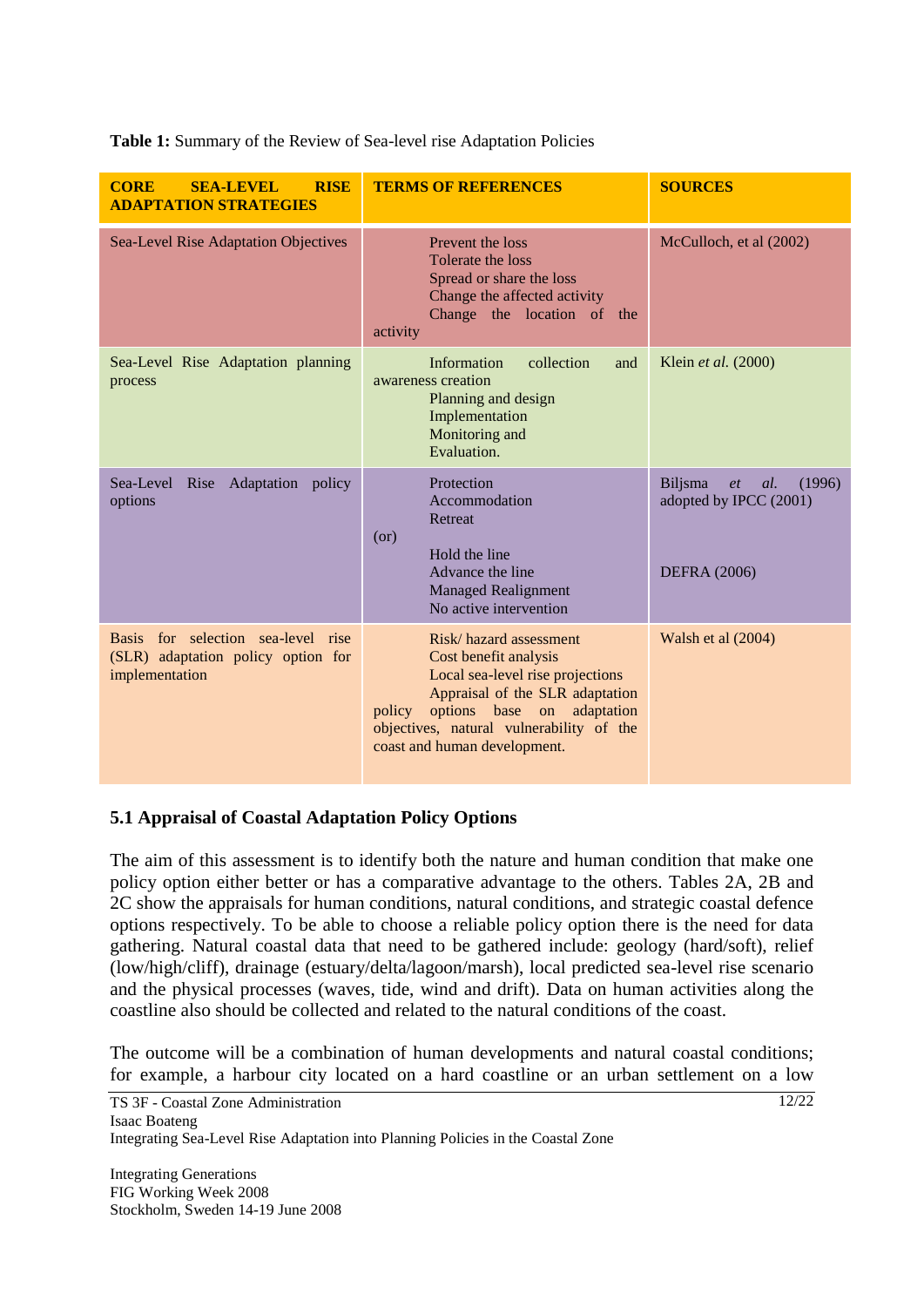| <b>CORE</b><br><b>SEA-LEVEL</b><br><b>RISE</b><br><b>ADAPTATION STRATEGIES</b>             | <b>TERMS OF REFERENCES</b>                                                                                                                                                                                                                    | <b>SOURCES</b>                                                                         |
|--------------------------------------------------------------------------------------------|-----------------------------------------------------------------------------------------------------------------------------------------------------------------------------------------------------------------------------------------------|----------------------------------------------------------------------------------------|
| Sea-Level Rise Adaptation Objectives                                                       | Prevent the loss<br>Tolerate the loss<br>Spread or share the loss<br>Change the affected activity<br>Change the location of the<br>activity                                                                                                   | McCulloch, et al (2002)                                                                |
| Sea-Level Rise Adaptation planning<br>process                                              | Information<br>collection<br>and<br>awareness creation<br>Planning and design<br>Implementation<br>Monitoring and<br>Evaluation.                                                                                                              | Klein et al. (2000)                                                                    |
| Sea-Level Rise Adaptation policy<br>options                                                | Protection<br>Accommodation<br>Retreat<br>(or)<br>Hold the line<br>Advance the line<br><b>Managed Realignment</b><br>No active intervention                                                                                                   | <b>Biljsma</b><br>al.<br>(1996)<br>et<br>adopted by IPCC (2001)<br><b>DEFRA</b> (2006) |
| Basis for selection sea-level rise<br>(SLR) adaptation policy option for<br>implementation | Risk/hazard assessment<br>Cost benefit analysis<br>Local sea-level rise projections<br>Appraisal of the SLR adaptation<br>options base on<br>adaptation<br>policy<br>objectives, natural vulnerability of the<br>coast and human development. | Walsh et al (2004)                                                                     |

**Table 1:** Summary of the Review of Sea-level rise Adaptation Policies

### **5.1 Appraisal of Coastal Adaptation Policy Options**

The aim of this assessment is to identify both the nature and human condition that make one policy option either better or has a comparative advantage to the others. Tables 2A, 2B and 2C show the appraisals for human conditions, natural conditions, and strategic coastal defence options respectively. To be able to choose a reliable policy option there is the need for data gathering. Natural coastal data that need to be gathered include: geology (hard/soft), relief (low/high/cliff), drainage (estuary/delta/lagoon/marsh), local predicted sea-level rise scenario and the physical processes (waves, tide, wind and drift). Data on human activities along the coastline also should be collected and related to the natural conditions of the coast.

The outcome will be a combination of human developments and natural coastal conditions; for example, a harbour city located on a hard coastline or an urban settlement on a low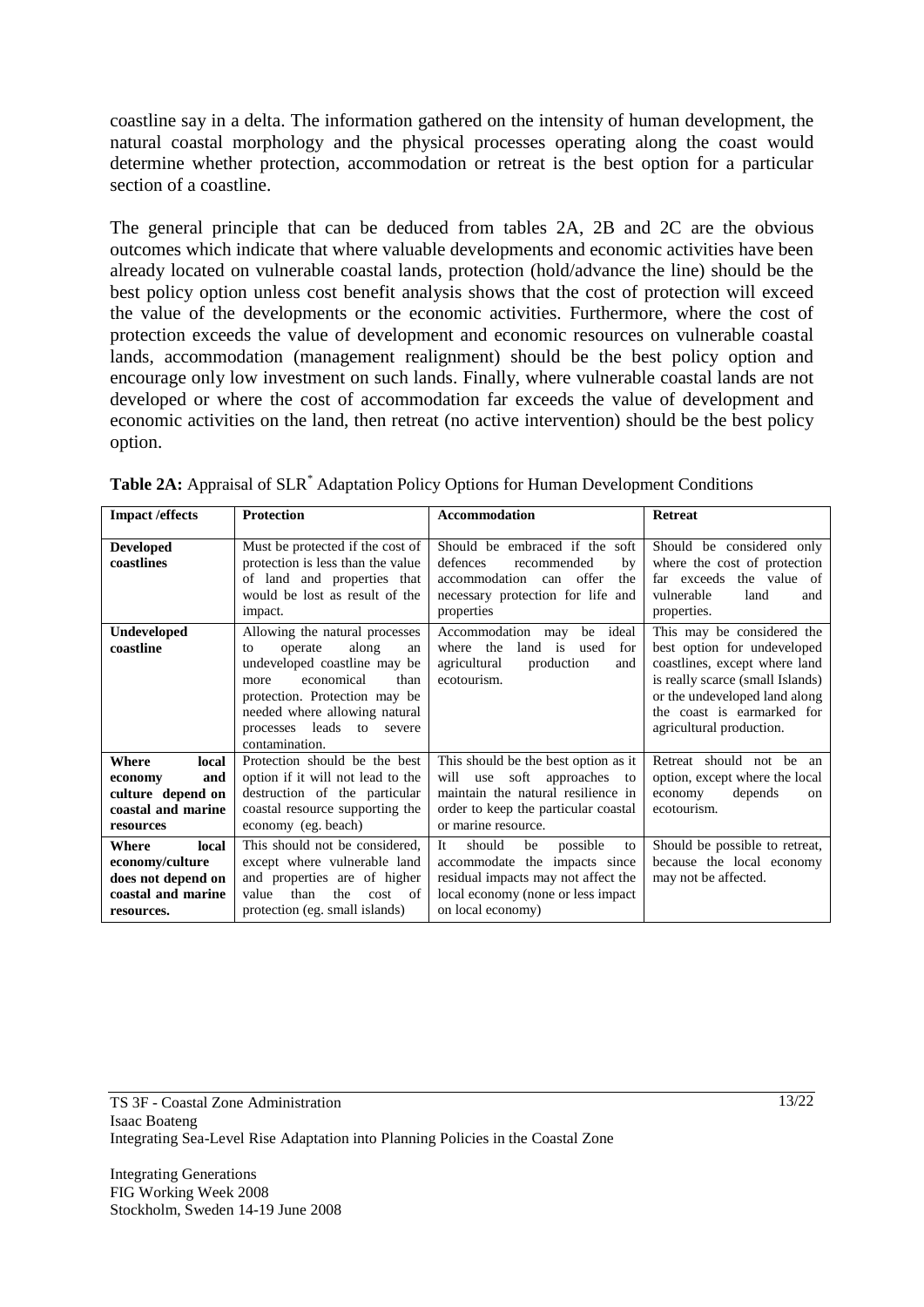coastline say in a delta. The information gathered on the intensity of human development, the natural coastal morphology and the physical processes operating along the coast would determine whether protection, accommodation or retreat is the best option for a particular section of a coastline.

The general principle that can be deduced from tables 2A, 2B and 2C are the obvious outcomes which indicate that where valuable developments and economic activities have been already located on vulnerable coastal lands, protection (hold/advance the line) should be the best policy option unless cost benefit analysis shows that the cost of protection will exceed the value of the developments or the economic activities. Furthermore, where the cost of protection exceeds the value of development and economic resources on vulnerable coastal lands, accommodation (management realignment) should be the best policy option and encourage only low investment on such lands. Finally, where vulnerable coastal lands are not developed or where the cost of accommodation far exceeds the value of development and economic activities on the land, then retreat (no active intervention) should be the best policy option.

| <b>Impact</b> / effects                                                                     | <b>Protection</b>                                                                                                                                                                                                                                | <b>Accommodation</b>                                                                                                                                                              | <b>Retreat</b>                                                                                                                                                                                                            |
|---------------------------------------------------------------------------------------------|--------------------------------------------------------------------------------------------------------------------------------------------------------------------------------------------------------------------------------------------------|-----------------------------------------------------------------------------------------------------------------------------------------------------------------------------------|---------------------------------------------------------------------------------------------------------------------------------------------------------------------------------------------------------------------------|
| <b>Developed</b><br>coastlines                                                              | Must be protected if the cost of<br>protection is less than the value                                                                                                                                                                            | Should be embraced if the soft<br>defences<br>recommended<br>by                                                                                                                   | Should be considered only<br>where the cost of protection                                                                                                                                                                 |
|                                                                                             | of land and properties that<br>would be lost as result of the<br>impact.                                                                                                                                                                         | accommodation<br>offer<br>the<br>can<br>necessary protection for life and<br>properties                                                                                           | far exceeds the value of<br>vulnerable<br>land<br>and<br>properties.                                                                                                                                                      |
| <b>Undeveloped</b><br>coastline                                                             | Allowing the natural processes<br>operate<br>along<br>an<br>to<br>undeveloped coastline may be<br>economical<br>than<br>more<br>protection. Protection may be<br>needed where allowing natural<br>processes leads to<br>severe<br>contamination. | Accommodation<br>ideal<br>be<br>may<br>where the<br>land is<br>for<br>used<br>agricultural<br>production<br>and<br>ecotourism.                                                    | This may be considered the<br>best option for undeveloped<br>coastlines, except where land<br>is really scarce (small Islands)<br>or the undeveloped land along<br>the coast is earmarked for<br>agricultural production. |
| Where<br>local<br>and<br>economy<br>culture depend on<br>coastal and marine<br>resources    | Protection should be the best<br>option if it will not lead to the<br>destruction of the particular<br>coastal resource supporting the<br>economy (eg. beach)                                                                                    | This should be the best option as it<br>soft approaches<br>will<br>use<br>to<br>maintain the natural resilience in<br>order to keep the particular coastal<br>or marine resource. | Retreat should not be<br>an<br>option, except where the local<br>depends<br>economy<br>on<br>ecotourism.                                                                                                                  |
| Where<br>local<br>economy/culture<br>does not depend on<br>coastal and marine<br>resources. | This should not be considered,<br>except where vulnerable land<br>and properties are of higher<br>than<br>the<br>value<br>of<br>cost<br>protection (eg. small islands)                                                                           | It<br>should<br>be<br>possible<br>to<br>accommodate the impacts since<br>residual impacts may not affect the<br>local economy (none or less impact)<br>on local economy)          | Should be possible to retreat,<br>because the local economy<br>may not be affected.                                                                                                                                       |

**Table 2A:** Appraisal of SLR\* Adaptation Policy Options for Human Development Conditions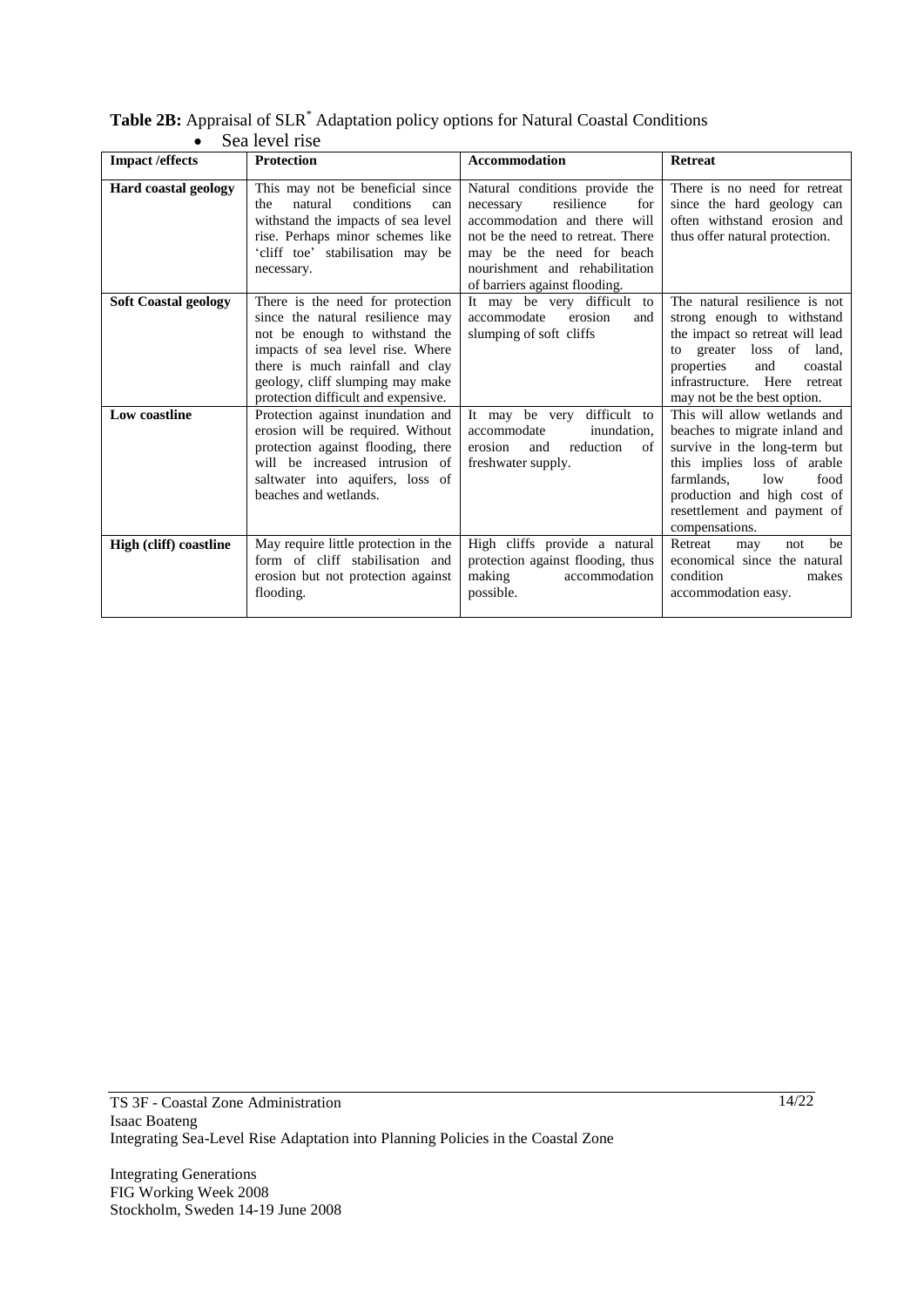|                             | DUA IUVUI IISU                                                                                                                                                                                                                                           |                                                                                                                                                                                                                                       |                                                                                                                                                                                                                                           |
|-----------------------------|----------------------------------------------------------------------------------------------------------------------------------------------------------------------------------------------------------------------------------------------------------|---------------------------------------------------------------------------------------------------------------------------------------------------------------------------------------------------------------------------------------|-------------------------------------------------------------------------------------------------------------------------------------------------------------------------------------------------------------------------------------------|
| <b>Impact/effects</b>       | <b>Protection</b>                                                                                                                                                                                                                                        | <b>Accommodation</b>                                                                                                                                                                                                                  | <b>Retreat</b>                                                                                                                                                                                                                            |
| <b>Hard coastal geology</b> | This may not be beneficial since<br>natural<br>conditions<br>the<br>can<br>withstand the impacts of sea level<br>rise. Perhaps minor schemes like<br>'cliff toe' stabilisation may be<br>necessary.                                                      | Natural conditions provide the<br>resilience<br>necessary<br>for<br>accommodation and there will<br>not be the need to retreat. There<br>may be the need for beach<br>nourishment and rehabilitation<br>of barriers against flooding. | There is no need for retreat<br>since the hard geology can<br>often withstand erosion and<br>thus offer natural protection.                                                                                                               |
| <b>Soft Coastal geology</b> | There is the need for protection<br>since the natural resilience may<br>not be enough to withstand the<br>impacts of sea level rise. Where<br>there is much rainfall and clay<br>geology, cliff slumping may make<br>protection difficult and expensive. | It may be very difficult to<br>accommodate<br>erosion<br>and<br>slumping of soft cliffs                                                                                                                                               | The natural resilience is not<br>strong enough to withstand<br>the impact so retreat will lead<br>greater loss of land,<br>to<br>properties<br>and<br>coastal<br>infrastructure. Here<br>retreat<br>may not be the best option.           |
| Low coastline               | Protection against inundation and<br>erosion will be required. Without<br>protection against flooding, there<br>will be increased intrusion of<br>saltwater into aquifers, loss of<br>beaches and wetlands.                                              | It may be very difficult to<br>accommodate<br>inundation,<br>erosion<br>and<br>reduction<br>of<br>freshwater supply.                                                                                                                  | This will allow wetlands and<br>beaches to migrate inland and<br>survive in the long-term but<br>this implies loss of arable<br>farmlands.<br>low<br>food<br>production and high cost of<br>resettlement and payment of<br>compensations. |
| High (cliff) coastline      | May require little protection in the<br>form of cliff stabilisation and<br>erosion but not protection against<br>flooding.                                                                                                                               | High cliffs provide a natural<br>protection against flooding, thus<br>making<br>accommodation<br>possible.                                                                                                                            | Retreat<br>be<br>not<br>may<br>economical since the natural<br>condition<br>makes<br>accommodation easy.                                                                                                                                  |

#### **Table 2B:** Appraisal of SLR\* Adaptation policy options for Natural Coastal Conditions  $\overrightarrow{S}$  Sea level rise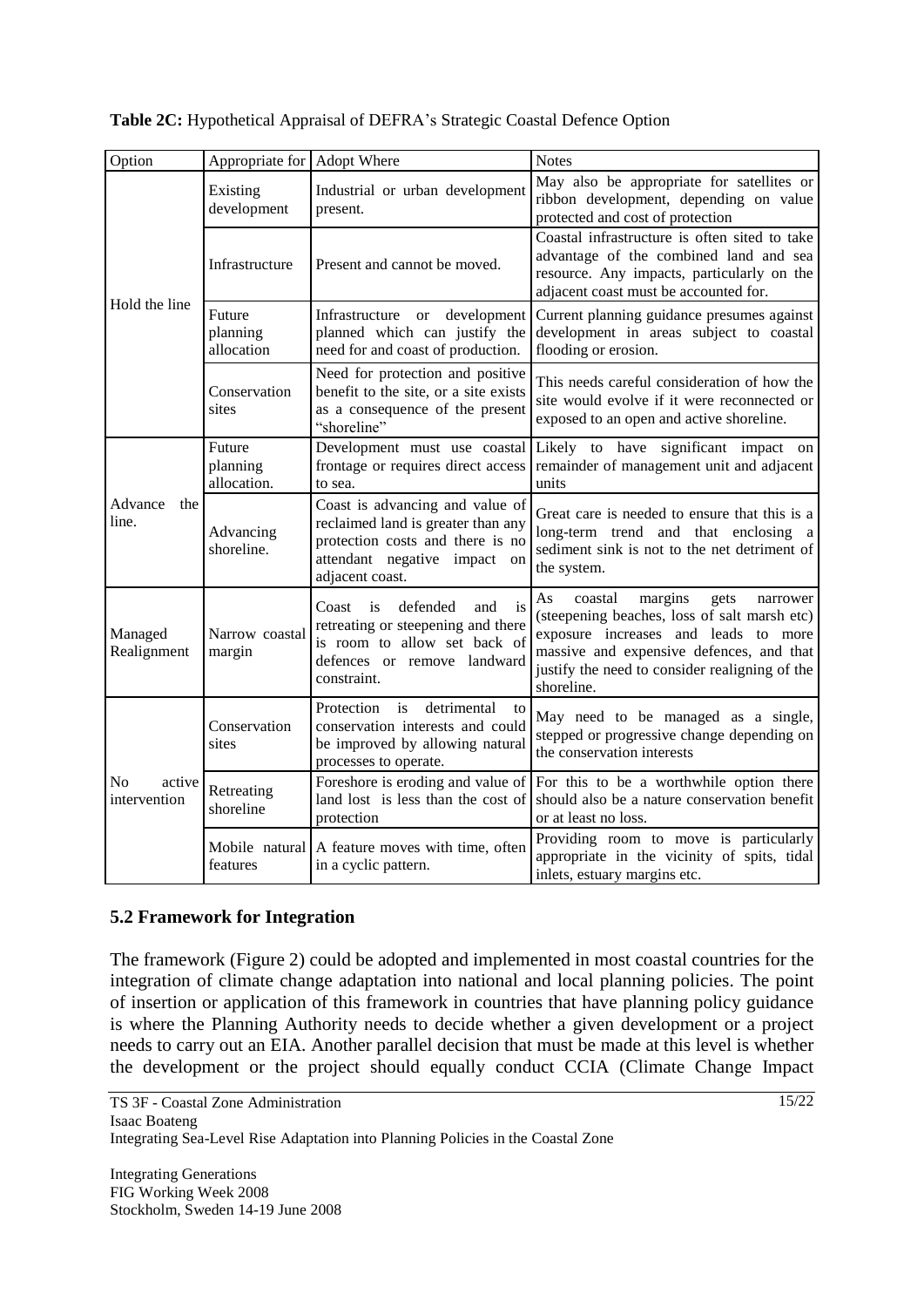| Option                       | Appropriate for Adopt Where       |                                                                                                                                                              | <b>Notes</b>                                                                                                                                                                                                                                     |
|------------------------------|-----------------------------------|--------------------------------------------------------------------------------------------------------------------------------------------------------------|--------------------------------------------------------------------------------------------------------------------------------------------------------------------------------------------------------------------------------------------------|
| Hold the line                | Existing<br>development           | Industrial or urban development<br>present.                                                                                                                  | May also be appropriate for satellites or<br>ribbon development, depending on value<br>protected and cost of protection                                                                                                                          |
|                              | Infrastructure                    | Present and cannot be moved.                                                                                                                                 | Coastal infrastructure is often sited to take<br>advantage of the combined land and sea<br>resource. Any impacts, particularly on the<br>adjacent coast must be accounted for.                                                                   |
|                              | Future<br>planning<br>allocation  | Infrastructure or development<br>planned which can justify the<br>need for and coast of production.                                                          | Current planning guidance presumes against<br>development in areas subject to coastal<br>flooding or erosion.                                                                                                                                    |
|                              | Conservation<br>sites             | Need for protection and positive<br>benefit to the site, or a site exists<br>as a consequence of the present<br>"shoreline"                                  | This needs careful consideration of how the<br>site would evolve if it were reconnected or<br>exposed to an open and active shoreline.                                                                                                           |
| Advance<br>the<br>line.      | Future<br>planning<br>allocation. | Development must use coastal<br>frontage or requires direct access<br>to sea.                                                                                | Likely to have significant impact on<br>remainder of management unit and adjacent<br>units                                                                                                                                                       |
|                              | Advancing<br>shoreline.           | Coast is advancing and value of<br>reclaimed land is greater than any<br>protection costs and there is no<br>attendant negative impact on<br>adjacent coast. | Great care is needed to ensure that this is a<br>long-term trend and that enclosing a<br>sediment sink is not to the net detriment of<br>the system.                                                                                             |
| Managed<br>Realignment       | Narrow coastal<br>margin          | defended<br>Coast<br>is<br>and<br>is<br>retreating or steepening and there<br>is room to allow set back of<br>defences or remove landward<br>constraint.     | As<br>coastal<br>margins<br>gets<br>narrower<br>(steepening beaches, loss of salt marsh etc)<br>exposure increases and leads to more<br>massive and expensive defences, and that<br>justify the need to consider realigning of the<br>shoreline. |
| No<br>active<br>intervention | Conservation<br>sites             | Protection<br>is<br>detrimental<br>to<br>conservation interests and could<br>be improved by allowing natural<br>processes to operate.                        | May need to be managed as a single,<br>stepped or progressive change depending on<br>the conservation interests                                                                                                                                  |
|                              | Retreating<br>shoreline           | Foreshore is eroding and value of<br>land lost is less than the cost of<br>protection                                                                        | For this to be a worthwhile option there<br>should also be a nature conservation benefit<br>or at least no loss.                                                                                                                                 |
|                              | features                          | Mobile natural A feature moves with time, often<br>in a cyclic pattern.                                                                                      | Providing room to move is particularly<br>appropriate in the vicinity of spits, tidal<br>inlets, estuary margins etc.                                                                                                                            |

**Table 2C:** Hypothetical Appraisal of DEFRA"s Strategic Coastal Defence Option

#### **5.2 Framework for Integration**

The framework (Figure 2) could be adopted and implemented in most coastal countries for the integration of climate change adaptation into national and local planning policies. The point of insertion or application of this framework in countries that have planning policy guidance is where the Planning Authority needs to decide whether a given development or a project needs to carry out an EIA. Another parallel decision that must be made at this level is whether the development or the project should equally conduct CCIA (Climate Change Impact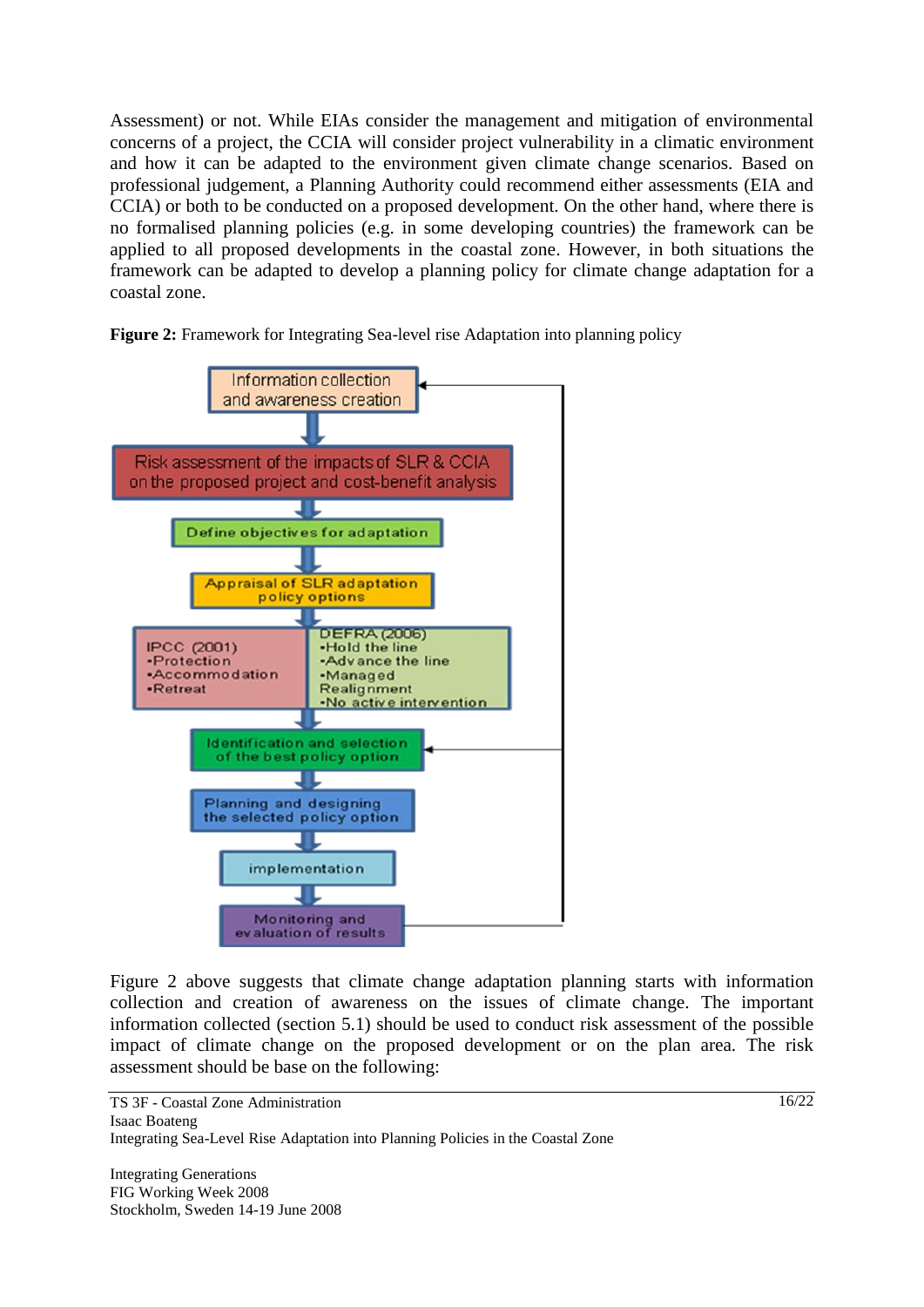Assessment) or not. While EIAs consider the management and mitigation of environmental concerns of a project, the CCIA will consider project vulnerability in a climatic environment and how it can be adapted to the environment given climate change scenarios. Based on professional judgement, a Planning Authority could recommend either assessments (EIA and CCIA) or both to be conducted on a proposed development. On the other hand, where there is no formalised planning policies (e.g. in some developing countries) the framework can be applied to all proposed developments in the coastal zone. However, in both situations the framework can be adapted to develop a planning policy for climate change adaptation for a coastal zone.



**Figure 2:** Framework for Integrating Sea-level rise Adaptation into planning policy

Figure 2 above suggests that climate change adaptation planning starts with information collection and creation of awareness on the issues of climate change. The important information collected (section 5.1) should be used to conduct risk assessment of the possible impact of climate change on the proposed development or on the plan area. The risk assessment should be base on the following: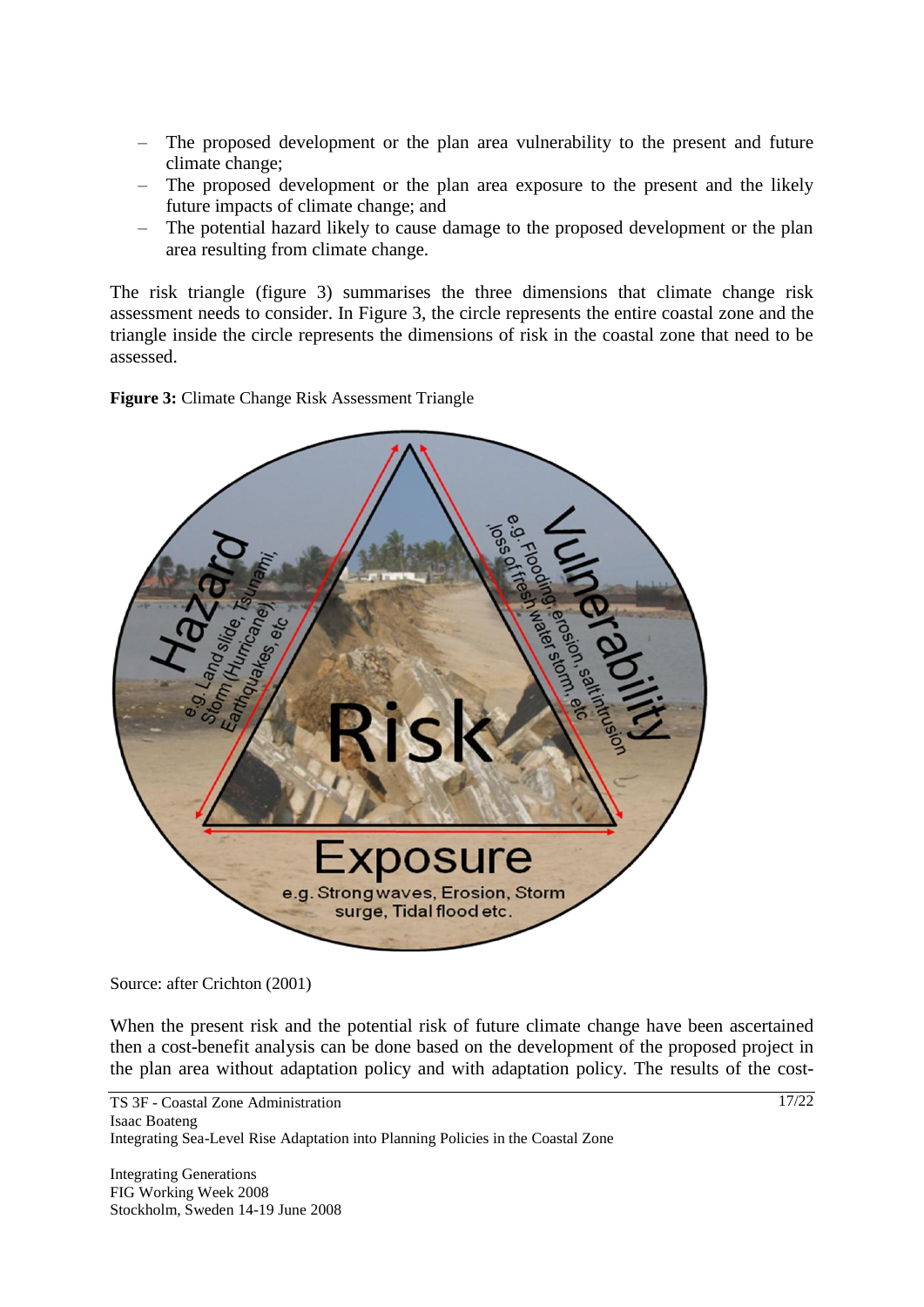- The proposed development or the plan area vulnerability to the present and future climate change;
- The proposed development or the plan area exposure to the present and the likely future impacts of climate change; and
- The potential hazard likely to cause damage to the proposed development or the plan area resulting from climate change.

The risk triangle (figure 3) summarises the three dimensions that climate change risk assessment needs to consider. In Figure 3, the circle represents the entire coastal zone and the triangle inside the circle represents the dimensions of risk in the coastal zone that need to be assessed.

**Figure 3:** Climate Change Risk Assessment Triangle



Source: after Crichton (2001)

When the present risk and the potential risk of future climate change have been ascertained then a cost-benefit analysis can be done based on the development of the proposed project in the plan area without adaptation policy and with adaptation policy. The results of the cost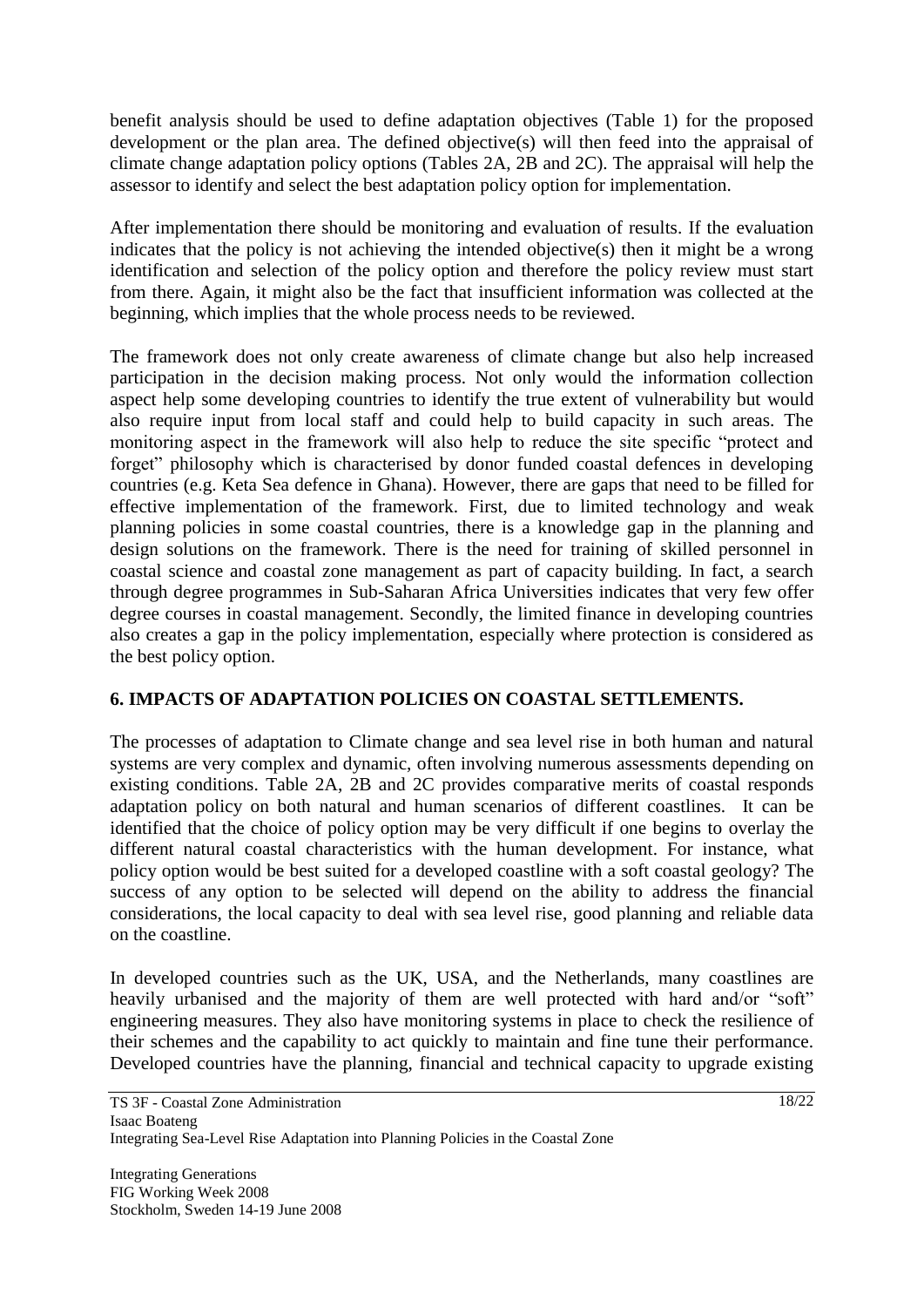benefit analysis should be used to define adaptation objectives (Table 1) for the proposed development or the plan area. The defined objective(s) will then feed into the appraisal of climate change adaptation policy options (Tables 2A, 2B and 2C). The appraisal will help the assessor to identify and select the best adaptation policy option for implementation.

After implementation there should be monitoring and evaluation of results. If the evaluation indicates that the policy is not achieving the intended objective(s) then it might be a wrong identification and selection of the policy option and therefore the policy review must start from there. Again, it might also be the fact that insufficient information was collected at the beginning, which implies that the whole process needs to be reviewed.

The framework does not only create awareness of climate change but also help increased participation in the decision making process. Not only would the information collection aspect help some developing countries to identify the true extent of vulnerability but would also require input from local staff and could help to build capacity in such areas. The monitoring aspect in the framework will also help to reduce the site specific "protect and forget" philosophy which is characterised by donor funded coastal defences in developing countries (e.g. Keta Sea defence in Ghana). However, there are gaps that need to be filled for effective implementation of the framework. First, due to limited technology and weak planning policies in some coastal countries, there is a knowledge gap in the planning and design solutions on the framework. There is the need for training of skilled personnel in coastal science and coastal zone management as part of capacity building. In fact, a search through degree programmes in Sub-Saharan Africa Universities indicates that very few offer degree courses in coastal management. Secondly, the limited finance in developing countries also creates a gap in the policy implementation, especially where protection is considered as the best policy option.

## **6. IMPACTS OF ADAPTATION POLICIES ON COASTAL SETTLEMENTS.**

The processes of adaptation to Climate change and sea level rise in both human and natural systems are very complex and dynamic, often involving numerous assessments depending on existing conditions. Table 2A, 2B and 2C provides comparative merits of coastal responds adaptation policy on both natural and human scenarios of different coastlines. It can be identified that the choice of policy option may be very difficult if one begins to overlay the different natural coastal characteristics with the human development. For instance, what policy option would be best suited for a developed coastline with a soft coastal geology? The success of any option to be selected will depend on the ability to address the financial considerations, the local capacity to deal with sea level rise, good planning and reliable data on the coastline.

In developed countries such as the UK, USA, and the Netherlands, many coastlines are heavily urbanised and the majority of them are well protected with hard and/or "soft" engineering measures. They also have monitoring systems in place to check the resilience of their schemes and the capability to act quickly to maintain and fine tune their performance. Developed countries have the planning, financial and technical capacity to upgrade existing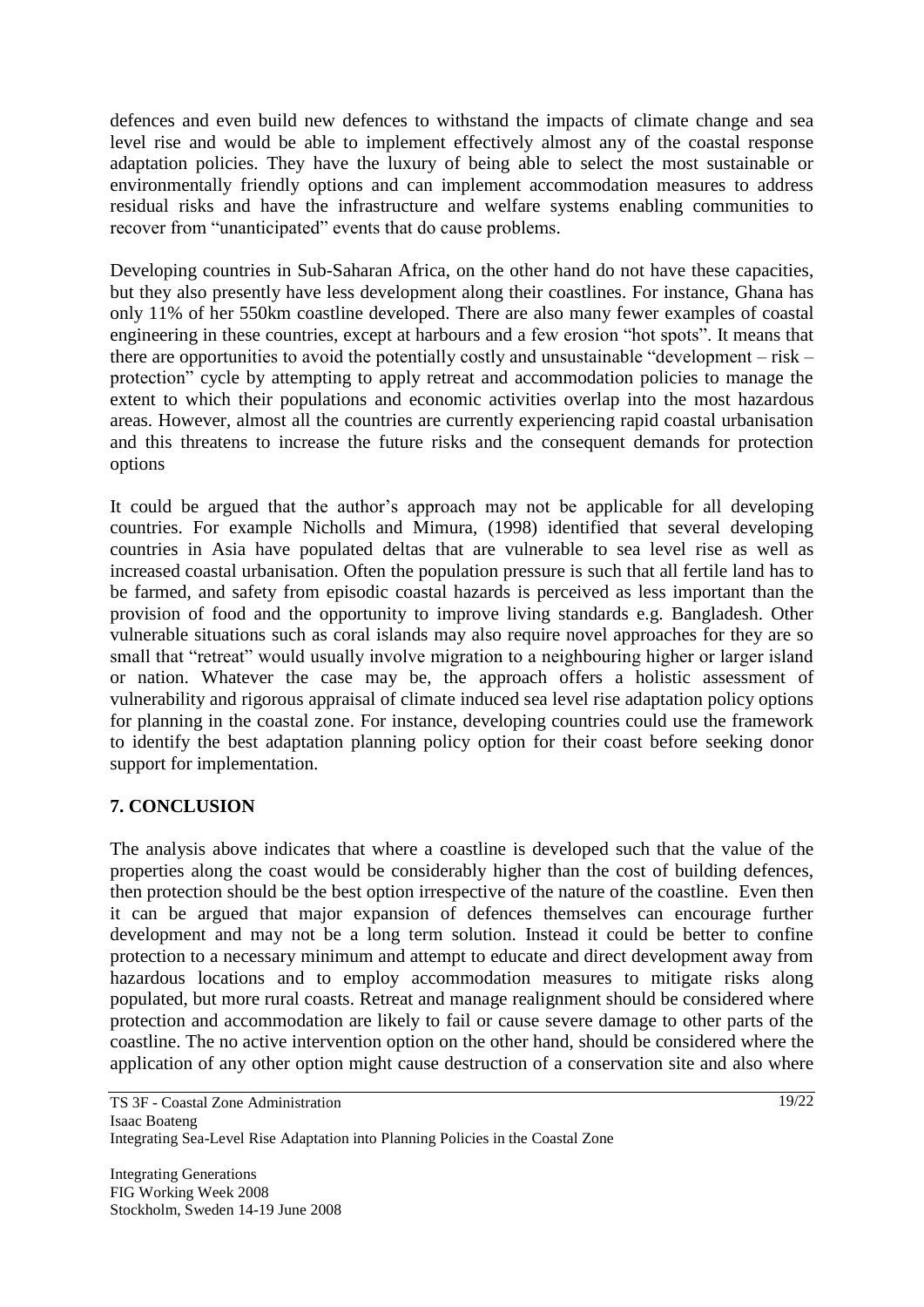defences and even build new defences to withstand the impacts of climate change and sea level rise and would be able to implement effectively almost any of the coastal response adaptation policies. They have the luxury of being able to select the most sustainable or environmentally friendly options and can implement accommodation measures to address residual risks and have the infrastructure and welfare systems enabling communities to recover from "unanticipated" events that do cause problems.

Developing countries in Sub-Saharan Africa, on the other hand do not have these capacities, but they also presently have less development along their coastlines. For instance, Ghana has only 11% of her 550km coastline developed. There are also many fewer examples of coastal engineering in these countries, except at harbours and a few erosion "hot spots". It means that there are opportunities to avoid the potentially costly and unsustainable "development – risk – protection" cycle by attempting to apply retreat and accommodation policies to manage the extent to which their populations and economic activities overlap into the most hazardous areas. However, almost all the countries are currently experiencing rapid coastal urbanisation and this threatens to increase the future risks and the consequent demands for protection options

It could be argued that the author's approach may not be applicable for all developing countries. For example Nicholls and Mimura, (1998) identified that several developing countries in Asia have populated deltas that are vulnerable to sea level rise as well as increased coastal urbanisation. Often the population pressure is such that all fertile land has to be farmed, and safety from episodic coastal hazards is perceived as less important than the provision of food and the opportunity to improve living standards e.g. Bangladesh. Other vulnerable situations such as coral islands may also require novel approaches for they are so small that "retreat" would usually involve migration to a neighbouring higher or larger island or nation. Whatever the case may be, the approach offers a holistic assessment of vulnerability and rigorous appraisal of climate induced sea level rise adaptation policy options for planning in the coastal zone. For instance, developing countries could use the framework to identify the best adaptation planning policy option for their coast before seeking donor support for implementation.

## **7. CONCLUSION**

The analysis above indicates that where a coastline is developed such that the value of the properties along the coast would be considerably higher than the cost of building defences, then protection should be the best option irrespective of the nature of the coastline. Even then it can be argued that major expansion of defences themselves can encourage further development and may not be a long term solution. Instead it could be better to confine protection to a necessary minimum and attempt to educate and direct development away from hazardous locations and to employ accommodation measures to mitigate risks along populated, but more rural coasts. Retreat and manage realignment should be considered where protection and accommodation are likely to fail or cause severe damage to other parts of the coastline. The no active intervention option on the other hand, should be considered where the application of any other option might cause destruction of a conservation site and also where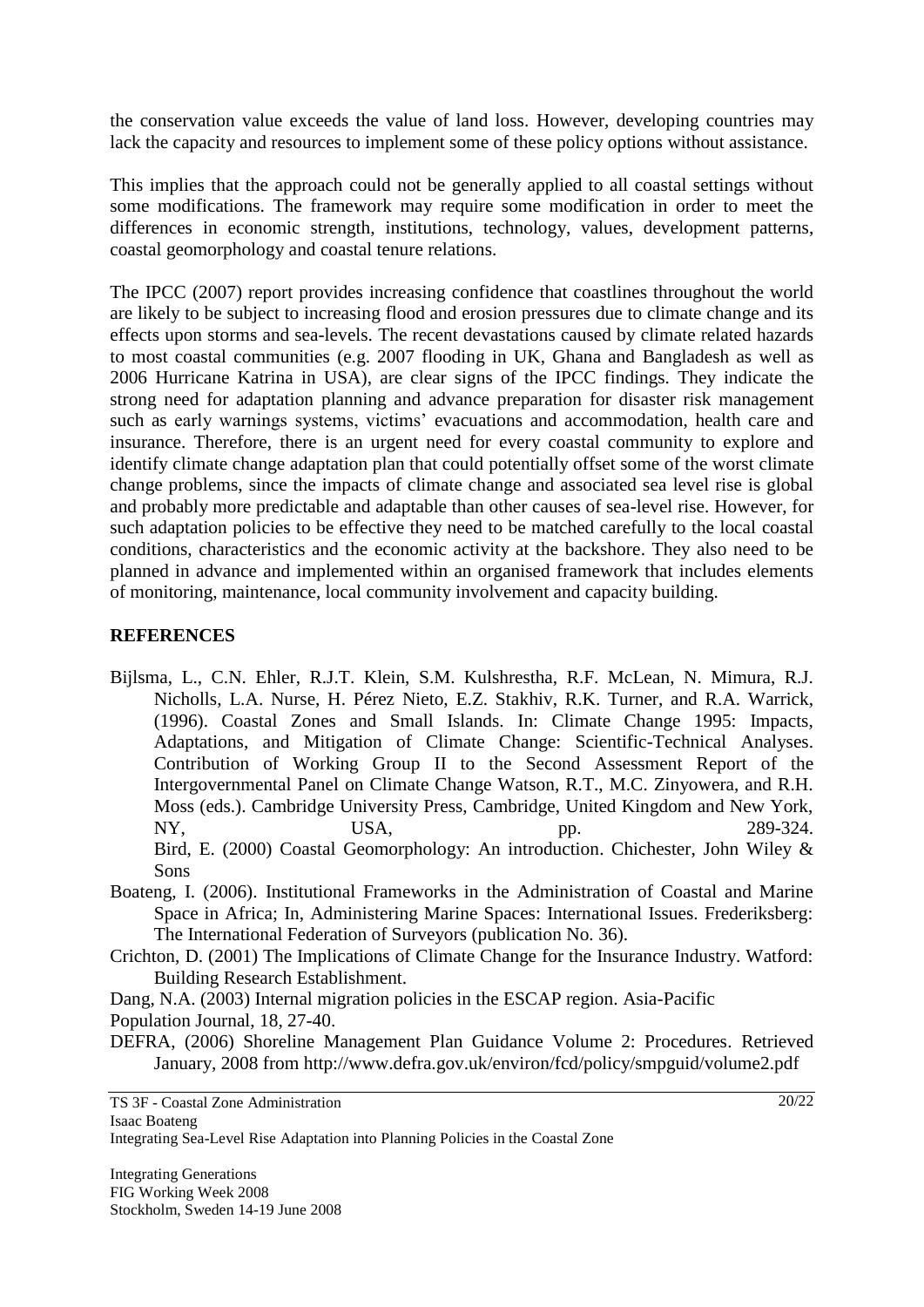the conservation value exceeds the value of land loss. However, developing countries may lack the capacity and resources to implement some of these policy options without assistance.

This implies that the approach could not be generally applied to all coastal settings without some modifications. The framework may require some modification in order to meet the differences in economic strength, institutions, technology, values, development patterns, coastal geomorphology and coastal tenure relations.

The IPCC (2007) report provides increasing confidence that coastlines throughout the world are likely to be subject to increasing flood and erosion pressures due to climate change and its effects upon storms and sea-levels. The recent devastations caused by climate related hazards to most coastal communities (e.g. 2007 flooding in UK, Ghana and Bangladesh as well as 2006 Hurricane Katrina in USA), are clear signs of the IPCC findings. They indicate the strong need for adaptation planning and advance preparation for disaster risk management such as early warnings systems, victims' evacuations and accommodation, health care and insurance. Therefore, there is an urgent need for every coastal community to explore and identify climate change adaptation plan that could potentially offset some of the worst climate change problems, since the impacts of climate change and associated sea level rise is global and probably more predictable and adaptable than other causes of sea-level rise. However, for such adaptation policies to be effective they need to be matched carefully to the local coastal conditions, characteristics and the economic activity at the backshore. They also need to be planned in advance and implemented within an organised framework that includes elements of monitoring, maintenance, local community involvement and capacity building.

### **REFERENCES**

- Bijlsma, L., C.N. Ehler, R.J.T. Klein, S.M. Kulshrestha, R.F. McLean, N. Mimura, R.J. Nicholls, L.A. Nurse, H. Pérez Nieto, E.Z. Stakhiv, R.K. Turner, and R.A. Warrick, (1996). Coastal Zones and Small Islands. In: Climate Change 1995: Impacts, Adaptations, and Mitigation of Climate Change: Scientific-Technical Analyses. Contribution of Working Group II to the Second Assessment Report of the Intergovernmental Panel on Climate Change Watson, R.T., M.C. Zinyowera, and R.H. Moss (eds.). Cambridge University Press, Cambridge, United Kingdom and New York, NY, USA, pp. 289-324. Bird, E. (2000) Coastal Geomorphology: An introduction. Chichester, John Wiley & Sons
- Boateng, I. (2006). Institutional Frameworks in the Administration of Coastal and Marine Space in Africa; In, Administering Marine Spaces: International Issues. Frederiksberg: The International Federation of Surveyors (publication No. 36).
- Crichton, D. (2001) The Implications of Climate Change for the Insurance Industry. Watford: Building Research Establishment.

Dang, N.A. (2003) Internal migration policies in the ESCAP region. Asia-Pacific Population Journal, 18, 27-40.

DEFRA, (2006) Shoreline Management Plan Guidance Volume 2: Procedures. Retrieved January, 2008 from http://www.defra.gov.uk/environ/fcd/policy/smpguid/volume2.pdf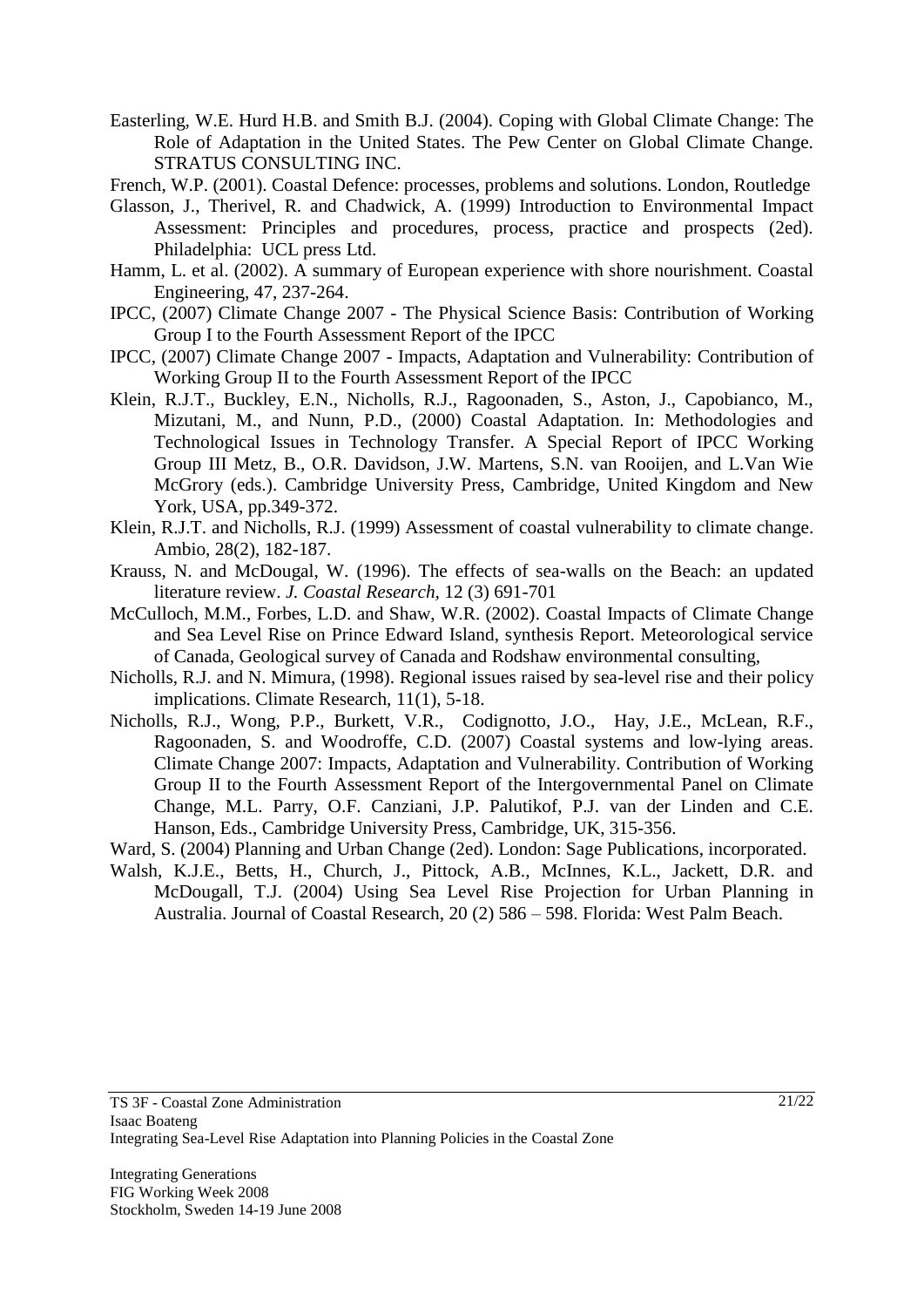- Easterling, W.E. Hurd H.B. and Smith B.J. (2004). Coping with Global Climate Change: The Role of Adaptation in the United States. The Pew Center on Global Climate Change. STRATUS CONSULTING INC.
- French, W.P. (2001). Coastal Defence: processes, problems and solutions. London, Routledge
- Glasson, J., Therivel, R. and Chadwick, A. (1999) Introduction to Environmental Impact Assessment: Principles and procedures, process, practice and prospects (2ed). Philadelphia: UCL press Ltd.
- Hamm, L. et al. (2002). A summary of European experience with shore nourishment. Coastal Engineering, 47, 237-264.
- IPCC, (2007) Climate Change 2007 The Physical Science Basis: Contribution of Working Group I to the Fourth Assessment Report of the IPCC
- IPCC, (2007) Climate Change 2007 Impacts, Adaptation and Vulnerability: Contribution of Working Group II to the Fourth Assessment Report of the IPCC
- Klein, R.J.T., Buckley, E.N., Nicholls, R.J., Ragoonaden, S., Aston, J., Capobianco, M., Mizutani, M., and Nunn, P.D., (2000) Coastal Adaptation. In: Methodologies and Technological Issues in Technology Transfer. A Special Report of IPCC Working Group III Metz, B., O.R. Davidson, J.W. Martens, S.N. van Rooijen, and L.Van Wie McGrory (eds.). Cambridge University Press, Cambridge, United Kingdom and New York, USA, pp.349-372.
- Klein, R.J.T. and Nicholls, R.J. (1999) Assessment of coastal vulnerability to climate change. Ambio, 28(2), 182-187.
- Krauss, N. and McDougal, W. (1996). The effects of sea-walls on the Beach: an updated literature review. *J. Coastal Research,* 12 (3) 691-701
- McCulloch, M.M., Forbes, L.D. and Shaw, W.R. (2002). Coastal Impacts of Climate Change and Sea Level Rise on Prince Edward Island, synthesis Report. Meteorological service of Canada, Geological survey of Canada and Rodshaw environmental consulting,
- Nicholls, R.J. and N. Mimura, (1998). Regional issues raised by sea-level rise and their policy implications. Climate Research, 11(1), 5-18.
- Nicholls, R.J., Wong, P.P., Burkett, V.R., Codignotto, J.O., Hay, J.E., McLean, R.F., Ragoonaden, S. and Woodroffe, C.D. (2007) Coastal systems and low-lying areas. Climate Change 2007: Impacts, Adaptation and Vulnerability. Contribution of Working Group II to the Fourth Assessment Report of the Intergovernmental Panel on Climate Change, M.L. Parry, O.F. Canziani, J.P. Palutikof, P.J. van der Linden and C.E. Hanson, Eds., Cambridge University Press, Cambridge, UK, 315-356.
- Ward, S. (2004) Planning and Urban Change (2ed). London: Sage Publications, incorporated.
- Walsh, K.J.E., Betts, H., Church, J., Pittock, A.B., McInnes, K.L., Jackett, D.R. and McDougall, T.J. (2004) Using Sea Level Rise Projection for Urban Planning in Australia. Journal of Coastal Research, 20 (2) 586 – 598. Florida: West Palm Beach.